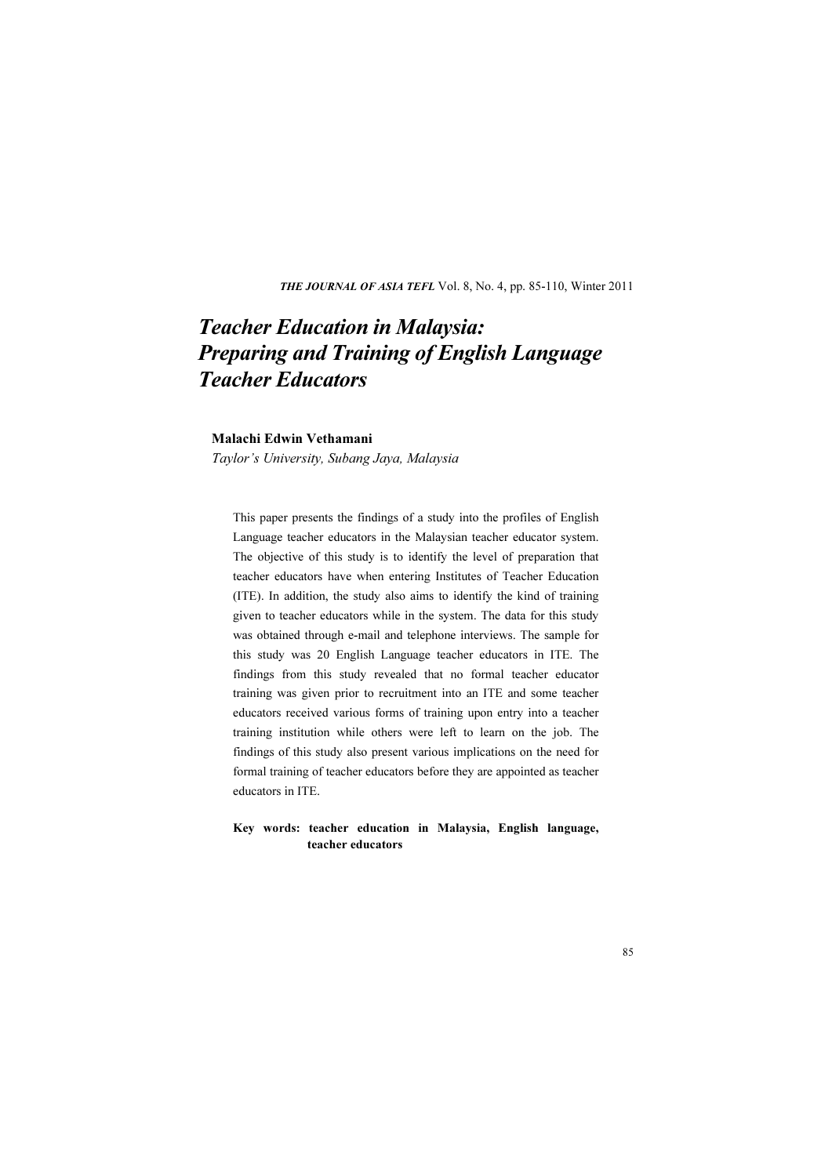THE JOURNAL OF ASIA TEFL Vol. 8, No. 4, pp. 85-110, Winter 2011

# Teacher Education in Malaysia: Preparing and Training of English Language Teacher Educators

## Malachi Edwin Vethamani

Taylor's University, Subang Jaya, Malaysia

This paper presents the findings of a study into the profiles of English Language teacher educators in the Malaysian teacher educator system. The objective of this study is to identify the level of preparation that teacher educators have when entering Institutes of Teacher Education (ITE). In addition, the study also aims to identify the kind of training given to teacher educators while in the system. The data for this study was obtained through e-mail and telephone interviews. The sample for this study was 20 English Language teacher educators in ITE. The findings from this study revealed that no formal teacher educator training was given prior to recruitment into an ITE and some teacher educators received various forms of training upon entry into a teacher training institution while others were left to learn on the job. The findings of this study also present various implications on the need for formal training of teacher educators before they are appointed as teacher educators in ITE.

### Key words: teacher education in Malaysia, English language, teacher educators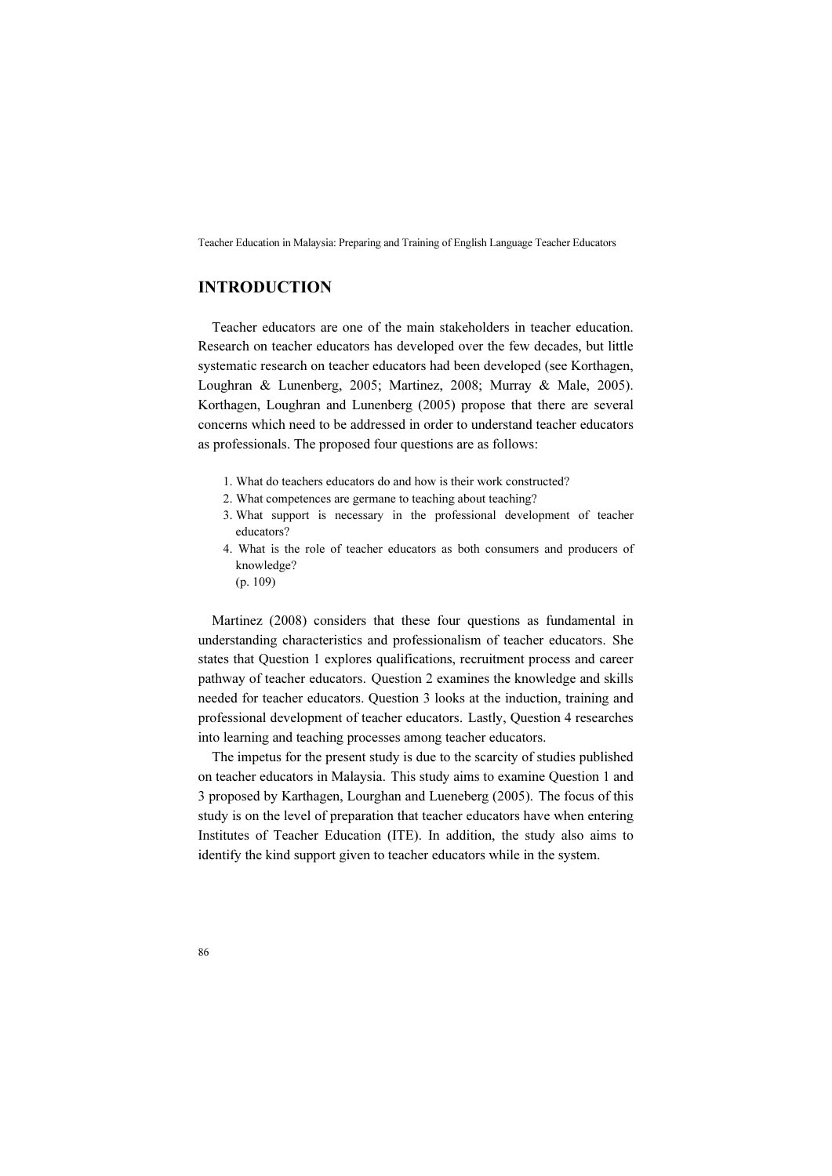# INTRODUCTION

Teacher educators are one of the main stakeholders in teacher education. Research on teacher educators has developed over the few decades, but little systematic research on teacher educators had been developed (see Korthagen, Loughran & Lunenberg, 2005; Martinez, 2008; Murray & Male, 2005). Korthagen, Loughran and Lunenberg (2005) propose that there are several concerns which need to be addressed in order to understand teacher educators as professionals. The proposed four questions are as follows:

- 1. What do teachers educators do and how is their work constructed?
- 2. What competences are germane to teaching about teaching?
- 3. What support is necessary in the professional development of teacher educators?
- 4. What is the role of teacher educators as both consumers and producers of knowledge?
	- (p. 109)

Martinez (2008) considers that these four questions as fundamental in understanding characteristics and professionalism of teacher educators. She states that Question 1 explores qualifications, recruitment process and career pathway of teacher educators. Question 2 examines the knowledge and skills needed for teacher educators. Question 3 looks at the induction, training and professional development of teacher educators. Lastly, Question 4 researches into learning and teaching processes among teacher educators.

The impetus for the present study is due to the scarcity of studies published on teacher educators in Malaysia. This study aims to examine Question 1 and 3 proposed by Karthagen, Lourghan and Lueneberg (2005). The focus of this study is on the level of preparation that teacher educators have when entering Institutes of Teacher Education (ITE). In addition, the study also aims to identify the kind support given to teacher educators while in the system.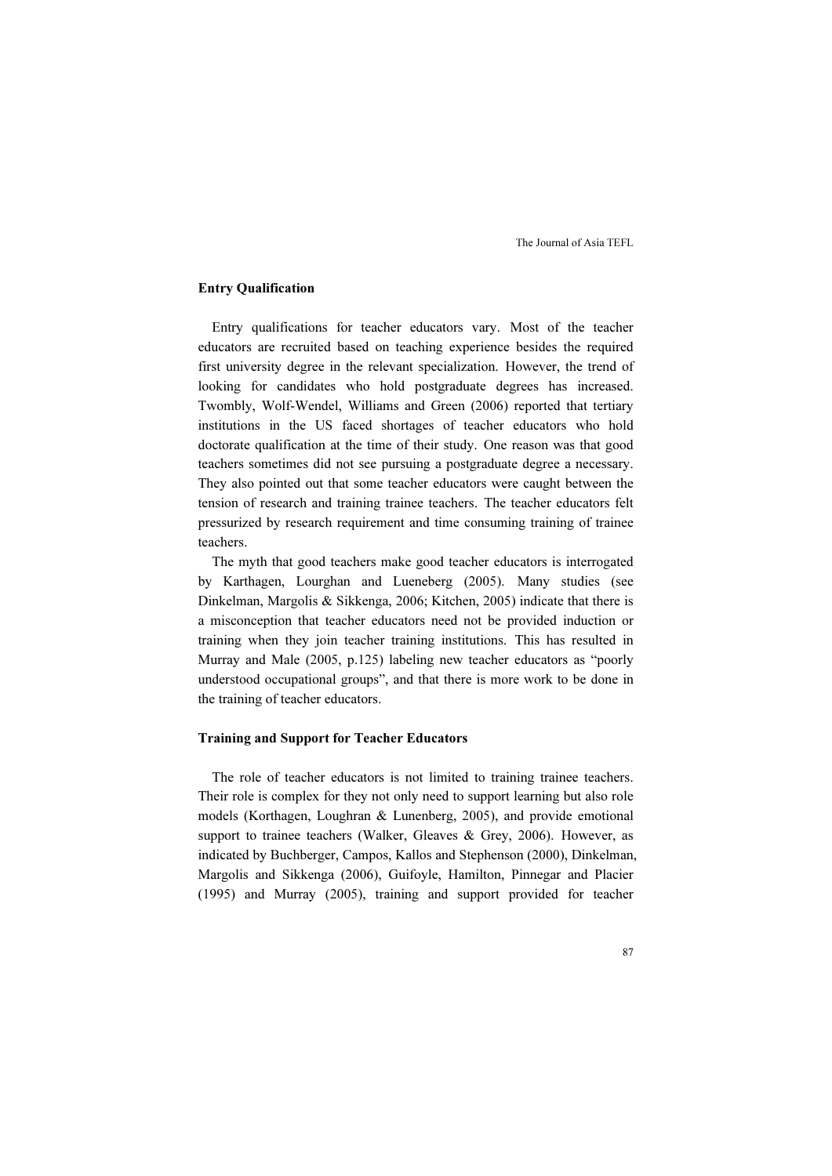### Entry Qualification

Entry qualifications for teacher educators vary. Most of the teacher educators are recruited based on teaching experience besides the required first university degree in the relevant specialization. However, the trend of looking for candidates who hold postgraduate degrees has increased. Twombly, Wolf-Wendel, Williams and Green (2006) reported that tertiary institutions in the US faced shortages of teacher educators who hold doctorate qualification at the time of their study. One reason was that good teachers sometimes did not see pursuing a postgraduate degree a necessary. They also pointed out that some teacher educators were caught between the tension of research and training trainee teachers. The teacher educators felt pressurized by research requirement and time consuming training of trainee teachers.

The myth that good teachers make good teacher educators is interrogated by Karthagen, Lourghan and Lueneberg (2005). Many studies (see Dinkelman, Margolis & Sikkenga, 2006; Kitchen, 2005) indicate that there is a misconception that teacher educators need not be provided induction or training when they join teacher training institutions. This has resulted in Murray and Male (2005, p.125) labeling new teacher educators as "poorly understood occupational groups", and that there is more work to be done in the training of teacher educators.

#### Training and Support for Teacher Educators

The role of teacher educators is not limited to training trainee teachers. Their role is complex for they not only need to support learning but also role models (Korthagen, Loughran & Lunenberg, 2005), and provide emotional support to trainee teachers (Walker, Gleaves & Grey, 2006). However, as indicated by Buchberger, Campos, Kallos and Stephenson (2000), Dinkelman, Margolis and Sikkenga (2006), Guifoyle, Hamilton, Pinnegar and Placier (1995) and Murray (2005), training and support provided for teacher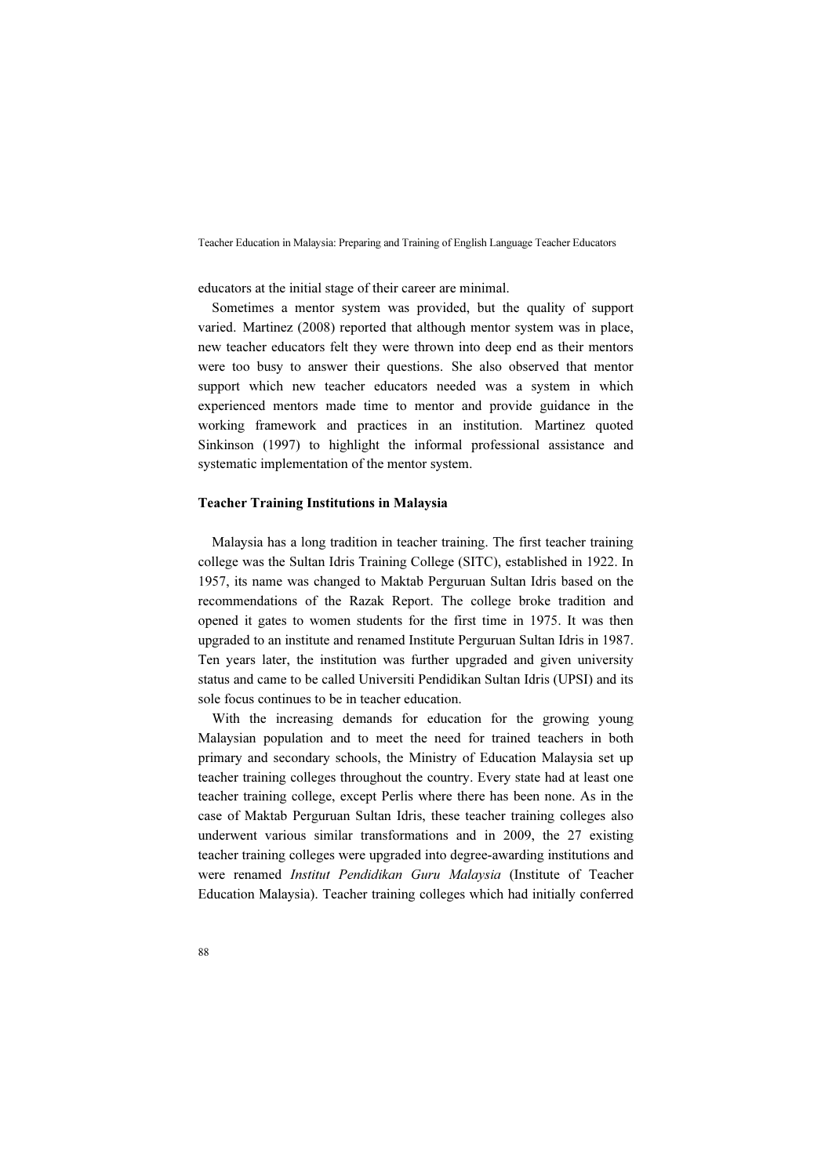educators at the initial stage of their career are minimal.

Sometimes a mentor system was provided, but the quality of support varied. Martinez (2008) reported that although mentor system was in place, new teacher educators felt they were thrown into deep end as their mentors were too busy to answer their questions. She also observed that mentor support which new teacher educators needed was a system in which experienced mentors made time to mentor and provide guidance in the working framework and practices in an institution. Martinez quoted Sinkinson (1997) to highlight the informal professional assistance and systematic implementation of the mentor system.

#### Teacher Training Institutions in Malaysia

Malaysia has a long tradition in teacher training. The first teacher training college was the Sultan Idris Training College (SITC), established in 1922. In 1957, its name was changed to Maktab Perguruan Sultan Idris based on the recommendations of the Razak Report. The college broke tradition and opened it gates to women students for the first time in 1975. It was then upgraded to an institute and renamed Institute Perguruan Sultan Idris in 1987. Ten years later, the institution was further upgraded and given university status and came to be called Universiti Pendidikan Sultan Idris (UPSI) and its sole focus continues to be in teacher education.

With the increasing demands for education for the growing young Malaysian population and to meet the need for trained teachers in both primary and secondary schools, the Ministry of Education Malaysia set up teacher training colleges throughout the country. Every state had at least one teacher training college, except Perlis where there has been none. As in the case of Maktab Perguruan Sultan Idris, these teacher training colleges also underwent various similar transformations and in 2009, the 27 existing teacher training colleges were upgraded into degree-awarding institutions and were renamed Institut Pendidikan Guru Malaysia (Institute of Teacher Education Malaysia). Teacher training colleges which had initially conferred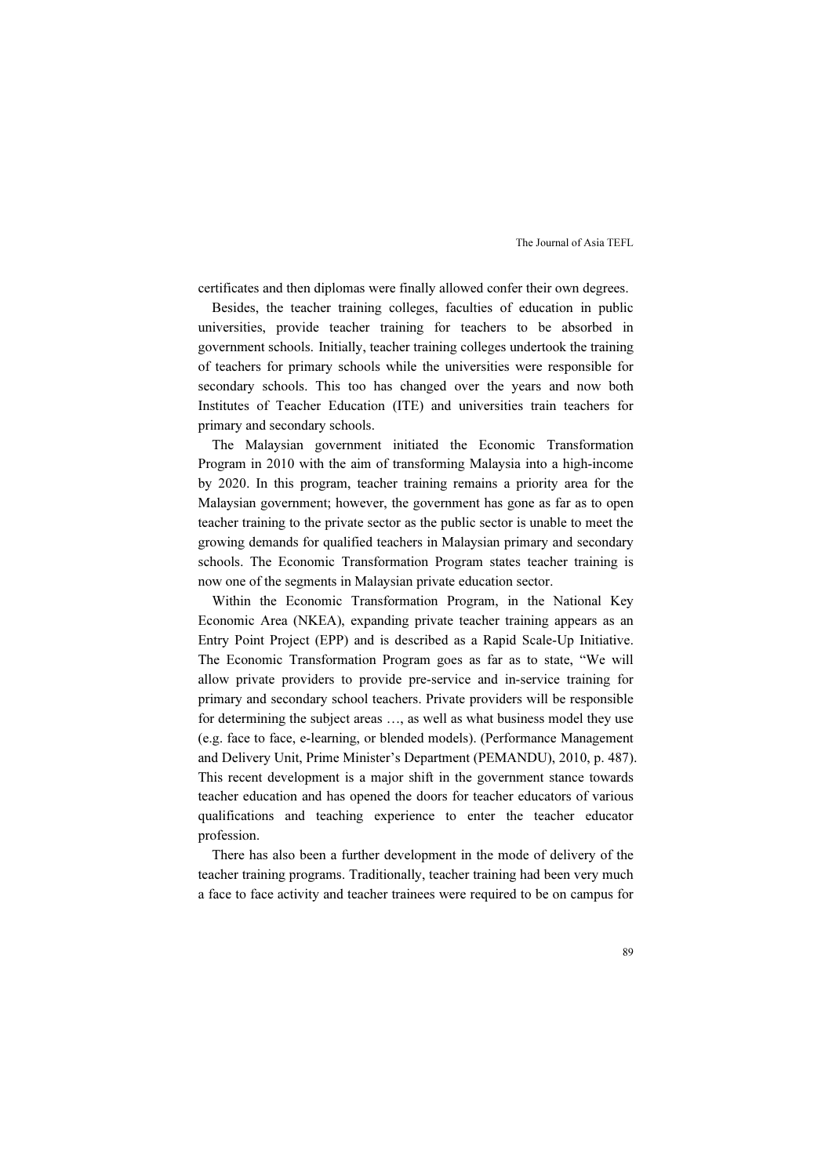certificates and then diplomas were finally allowed confer their own degrees.

Besides, the teacher training colleges, faculties of education in public universities, provide teacher training for teachers to be absorbed in government schools. Initially, teacher training colleges undertook the training of teachers for primary schools while the universities were responsible for secondary schools. This too has changed over the years and now both Institutes of Teacher Education (ITE) and universities train teachers for primary and secondary schools.

The Malaysian government initiated the Economic Transformation Program in 2010 with the aim of transforming Malaysia into a high-income by 2020. In this program, teacher training remains a priority area for the Malaysian government; however, the government has gone as far as to open teacher training to the private sector as the public sector is unable to meet the growing demands for qualified teachers in Malaysian primary and secondary schools. The Economic Transformation Program states teacher training is now one of the segments in Malaysian private education sector.

Within the Economic Transformation Program, in the National Key Economic Area (NKEA), expanding private teacher training appears as an Entry Point Project (EPP) and is described as a Rapid Scale-Up Initiative. The Economic Transformation Program goes as far as to state, "We will allow private providers to provide pre-service and in-service training for primary and secondary school teachers. Private providers will be responsible for determining the subject areas …, as well as what business model they use (e.g. face to face, e-learning, or blended models). (Performance Management and Delivery Unit, Prime Minister's Department (PEMANDU), 2010, p. 487). This recent development is a major shift in the government stance towards teacher education and has opened the doors for teacher educators of various qualifications and teaching experience to enter the teacher educator profession.

There has also been a further development in the mode of delivery of the teacher training programs. Traditionally, teacher training had been very much a face to face activity and teacher trainees were required to be on campus for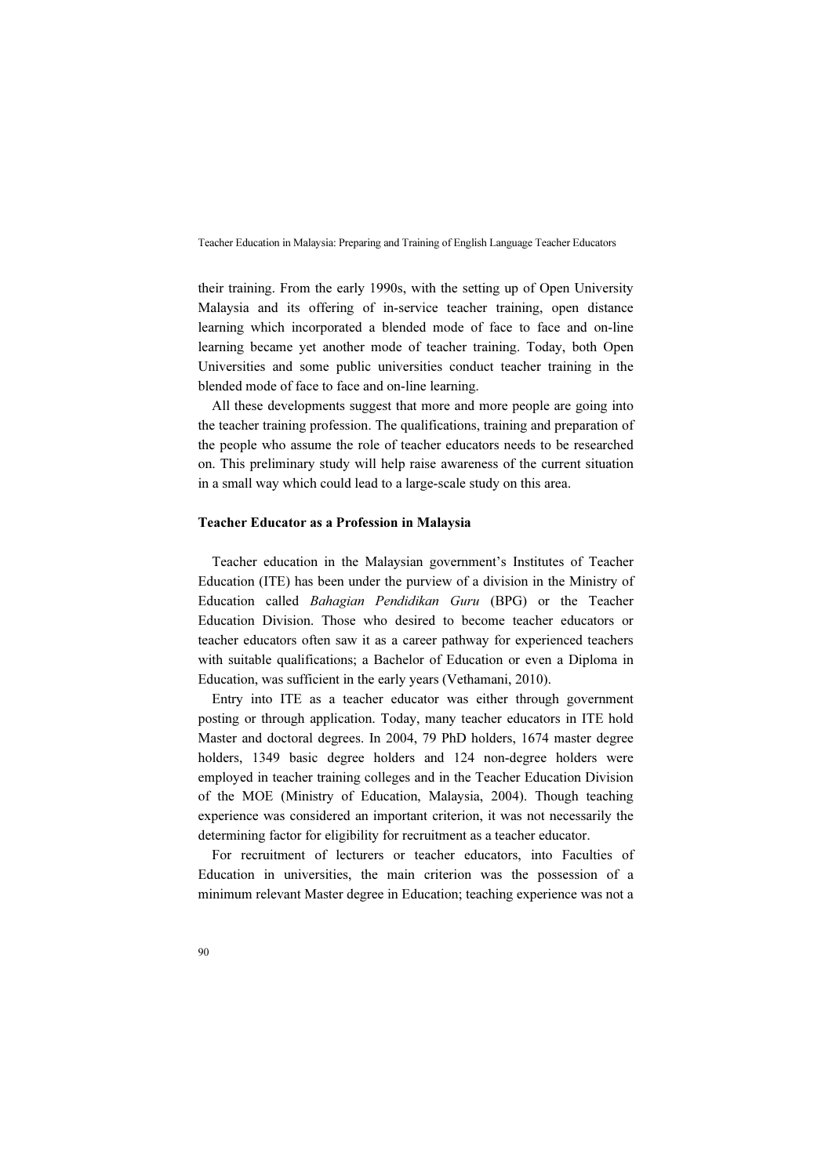their training. From the early 1990s, with the setting up of Open University Malaysia and its offering of in-service teacher training, open distance learning which incorporated a blended mode of face to face and on-line learning became yet another mode of teacher training. Today, both Open Universities and some public universities conduct teacher training in the blended mode of face to face and on-line learning.

All these developments suggest that more and more people are going into the teacher training profession. The qualifications, training and preparation of the people who assume the role of teacher educators needs to be researched on. This preliminary study will help raise awareness of the current situation in a small way which could lead to a large-scale study on this area.

#### Teacher Educator as a Profession in Malaysia

Teacher education in the Malaysian government's Institutes of Teacher Education (ITE) has been under the purview of a division in the Ministry of Education called Bahagian Pendidikan Guru (BPG) or the Teacher Education Division. Those who desired to become teacher educators or teacher educators often saw it as a career pathway for experienced teachers with suitable qualifications; a Bachelor of Education or even a Diploma in Education, was sufficient in the early years (Vethamani, 2010).

Entry into ITE as a teacher educator was either through government posting or through application. Today, many teacher educators in ITE hold Master and doctoral degrees. In 2004, 79 PhD holders, 1674 master degree holders, 1349 basic degree holders and 124 non-degree holders were employed in teacher training colleges and in the Teacher Education Division of the MOE (Ministry of Education, Malaysia, 2004). Though teaching experience was considered an important criterion, it was not necessarily the determining factor for eligibility for recruitment as a teacher educator.

For recruitment of lecturers or teacher educators, into Faculties of Education in universities, the main criterion was the possession of a minimum relevant Master degree in Education; teaching experience was not a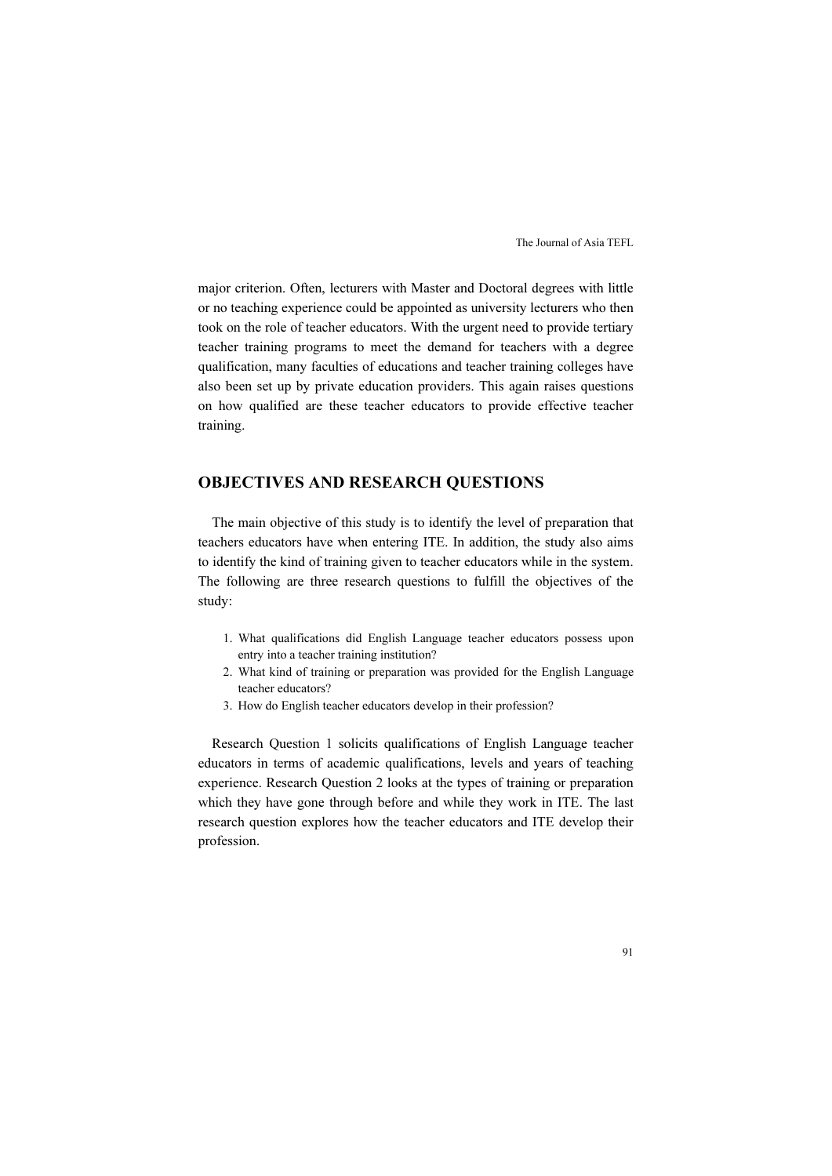major criterion. Often, lecturers with Master and Doctoral degrees with little or no teaching experience could be appointed as university lecturers who then took on the role of teacher educators. With the urgent need to provide tertiary teacher training programs to meet the demand for teachers with a degree qualification, many faculties of educations and teacher training colleges have also been set up by private education providers. This again raises questions on how qualified are these teacher educators to provide effective teacher training.

# OBJECTIVES AND RESEARCH QUESTIONS

The main objective of this study is to identify the level of preparation that teachers educators have when entering ITE. In addition, the study also aims to identify the kind of training given to teacher educators while in the system. The following are three research questions to fulfill the objectives of the study:

- 1. What qualifications did English Language teacher educators possess upon entry into a teacher training institution?
- 2. What kind of training or preparation was provided for the English Language teacher educators?
- 3. How do English teacher educators develop in their profession?

Research Question 1 solicits qualifications of English Language teacher educators in terms of academic qualifications, levels and years of teaching experience. Research Question 2 looks at the types of training or preparation which they have gone through before and while they work in ITE. The last research question explores how the teacher educators and ITE develop their profession.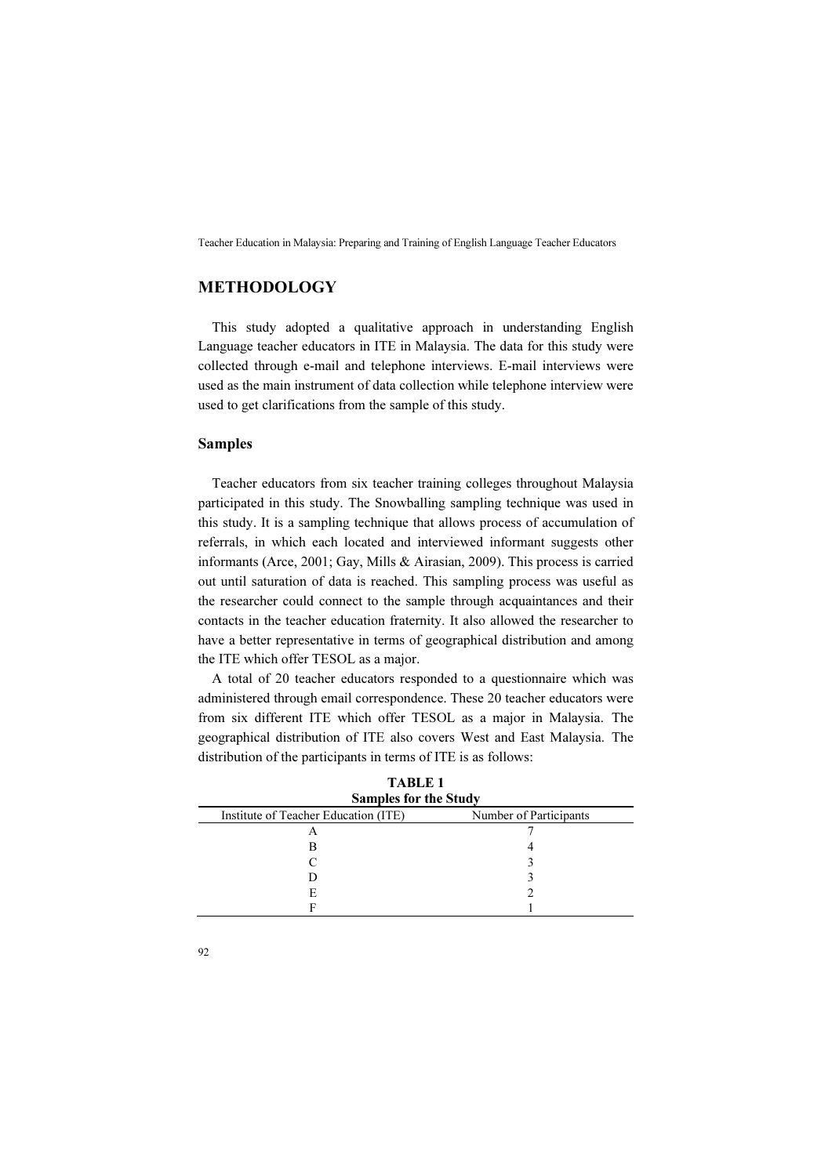# METHODOLOGY

This study adopted a qualitative approach in understanding English Language teacher educators in ITE in Malaysia. The data for this study were collected through e-mail and telephone interviews. E-mail interviews were used as the main instrument of data collection while telephone interview were used to get clarifications from the sample of this study.

## Samples

Teacher educators from six teacher training colleges throughout Malaysia participated in this study. The Snowballing sampling technique was used in this study. It is a sampling technique that allows process of accumulation of referrals, in which each located and interviewed informant suggests other informants (Arce, 2001; Gay, Mills & Airasian, 2009). This process is carried out until saturation of data is reached. This sampling process was useful as the researcher could connect to the sample through acquaintances and their contacts in the teacher education fraternity. It also allowed the researcher to have a better representative in terms of geographical distribution and among the ITE which offer TESOL as a major.

A total of 20 teacher educators responded to a questionnaire which was administered through email correspondence. These 20 teacher educators were from six different ITE which offer TESOL as a major in Malaysia. The geographical distribution of ITE also covers West and East Malaysia. The distribution of the participants in terms of ITE is as follows:

| <b>TABLE 1</b><br><b>Samples for the Study</b> |                        |  |
|------------------------------------------------|------------------------|--|
| Institute of Teacher Education (ITE)           | Number of Participants |  |
| Α                                              |                        |  |
| в                                              |                        |  |
|                                                |                        |  |
|                                                |                        |  |
| Е,                                             |                        |  |
|                                                |                        |  |

| <b>TABLE 1</b>               |  |
|------------------------------|--|
| <b>Samples for the Study</b> |  |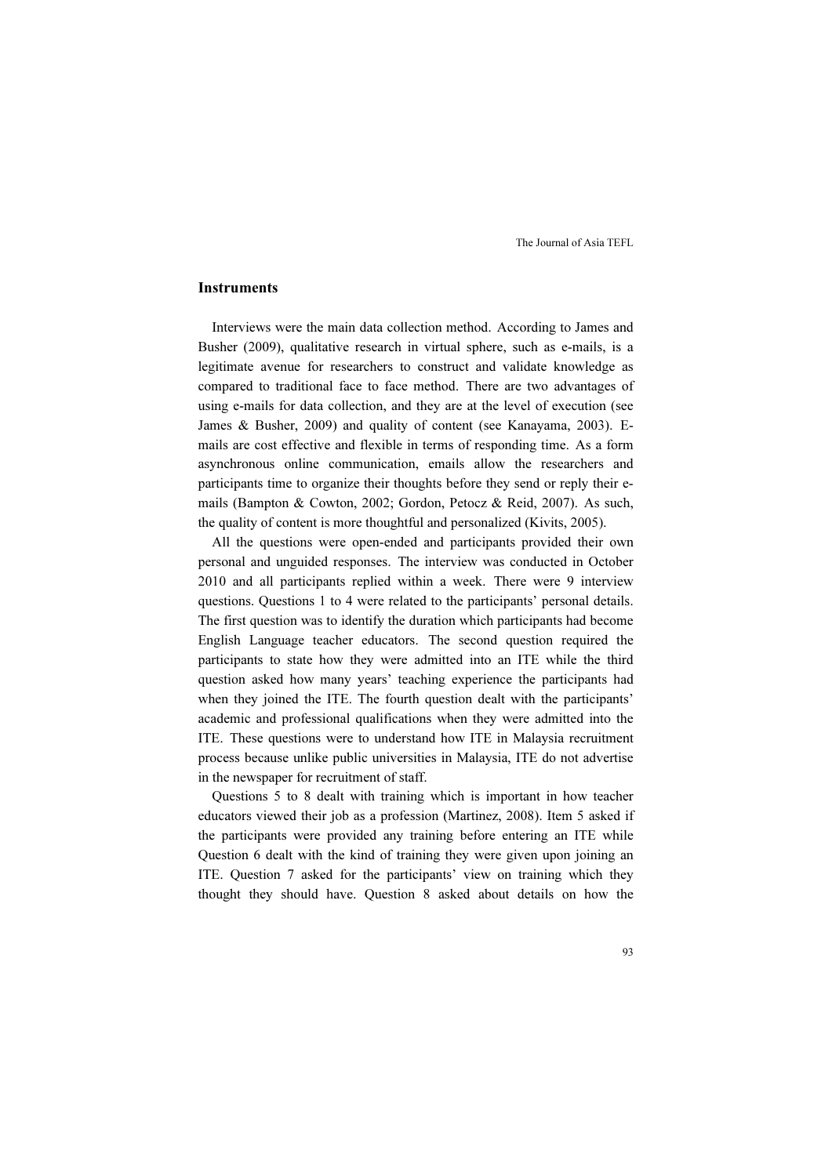## Instruments

Interviews were the main data collection method. According to James and Busher (2009), qualitative research in virtual sphere, such as e-mails, is a legitimate avenue for researchers to construct and validate knowledge as compared to traditional face to face method. There are two advantages of using e-mails for data collection, and they are at the level of execution (see James & Busher, 2009) and quality of content (see Kanayama, 2003). Emails are cost effective and flexible in terms of responding time. As a form asynchronous online communication, emails allow the researchers and participants time to organize their thoughts before they send or reply their emails (Bampton & Cowton, 2002; Gordon, Petocz & Reid, 2007). As such, the quality of content is more thoughtful and personalized (Kivits, 2005).

All the questions were open-ended and participants provided their own personal and unguided responses. The interview was conducted in October 2010 and all participants replied within a week. There were 9 interview questions. Questions 1 to 4 were related to the participants' personal details. The first question was to identify the duration which participants had become English Language teacher educators. The second question required the participants to state how they were admitted into an ITE while the third question asked how many years' teaching experience the participants had when they joined the ITE. The fourth question dealt with the participants' academic and professional qualifications when they were admitted into the ITE. These questions were to understand how ITE in Malaysia recruitment process because unlike public universities in Malaysia, ITE do not advertise in the newspaper for recruitment of staff.

Questions 5 to 8 dealt with training which is important in how teacher educators viewed their job as a profession (Martinez, 2008). Item 5 asked if the participants were provided any training before entering an ITE while Question 6 dealt with the kind of training they were given upon joining an ITE. Question 7 asked for the participants' view on training which they thought they should have. Question 8 asked about details on how the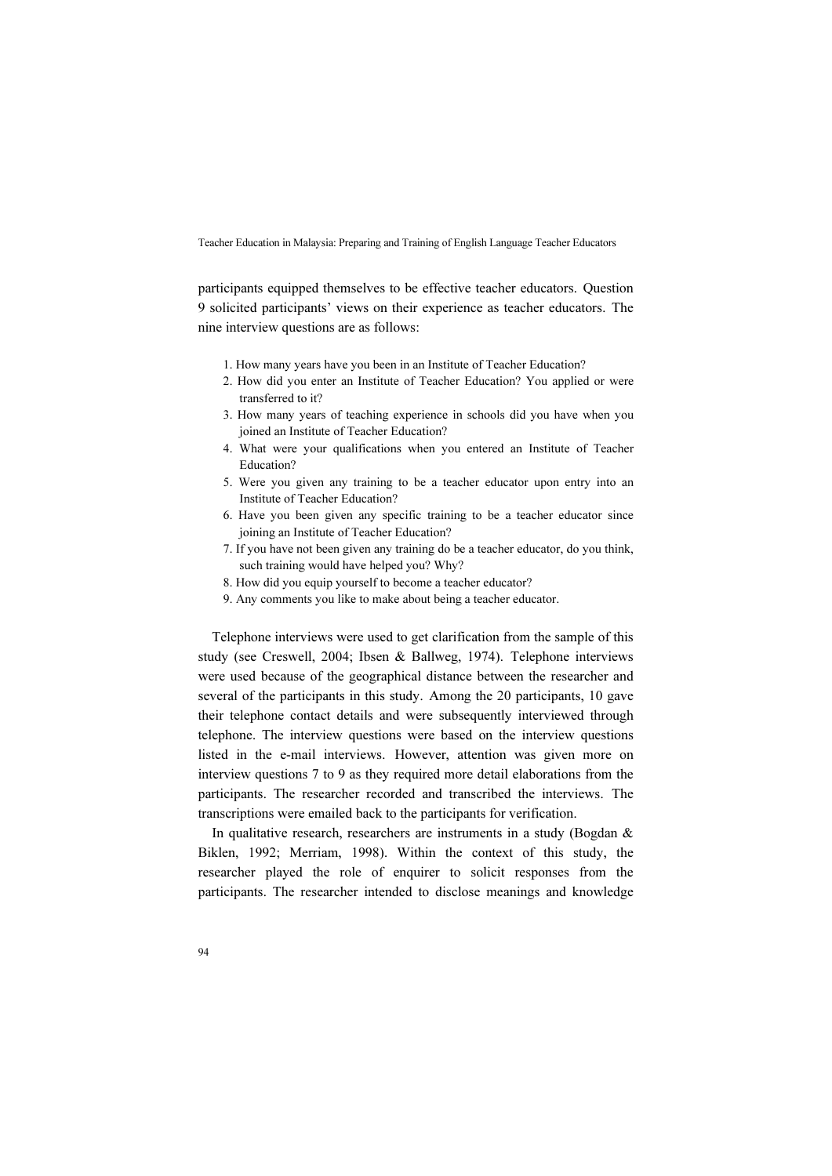participants equipped themselves to be effective teacher educators. Question 9 solicited participants' views on their experience as teacher educators. The nine interview questions are as follows:

- 1. How many years have you been in an Institute of Teacher Education?
- 2. How did you enter an Institute of Teacher Education? You applied or were transferred to it?
- 3. How many years of teaching experience in schools did you have when you joined an Institute of Teacher Education?
- 4. What were your qualifications when you entered an Institute of Teacher Education?
- 5. Were you given any training to be a teacher educator upon entry into an Institute of Teacher Education?
- 6. Have you been given any specific training to be a teacher educator since joining an Institute of Teacher Education?
- 7. If you have not been given any training do be a teacher educator, do you think, such training would have helped you? Why?
- 8. How did you equip yourself to become a teacher educator?
- 9. Any comments you like to make about being a teacher educator.

Telephone interviews were used to get clarification from the sample of this study (see Creswell, 2004; Ibsen & Ballweg, 1974). Telephone interviews were used because of the geographical distance between the researcher and several of the participants in this study. Among the 20 participants, 10 gave their telephone contact details and were subsequently interviewed through telephone. The interview questions were based on the interview questions listed in the e-mail interviews. However, attention was given more on interview questions 7 to 9 as they required more detail elaborations from the participants. The researcher recorded and transcribed the interviews. The transcriptions were emailed back to the participants for verification.

In qualitative research, researchers are instruments in a study (Bogdan & Biklen, 1992; Merriam, 1998). Within the context of this study, the researcher played the role of enquirer to solicit responses from the participants. The researcher intended to disclose meanings and knowledge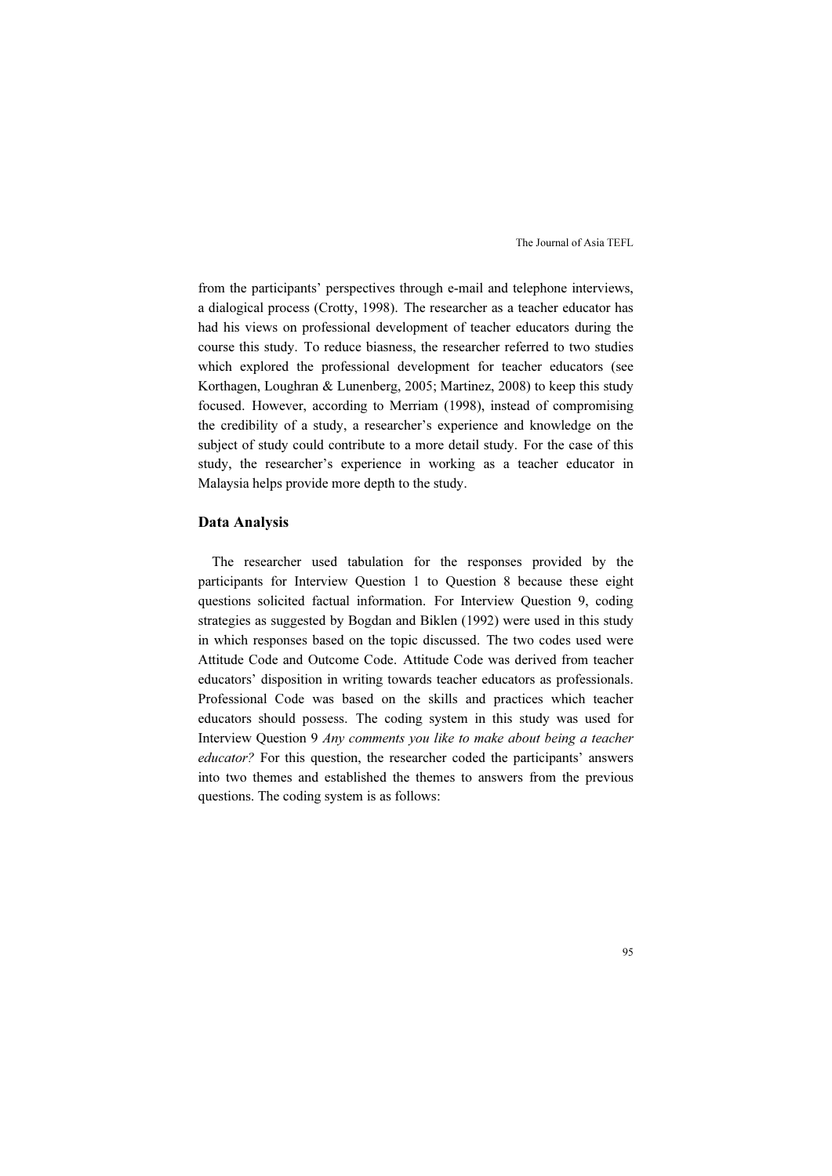from the participants' perspectives through e-mail and telephone interviews, a dialogical process (Crotty, 1998). The researcher as a teacher educator has had his views on professional development of teacher educators during the course this study. To reduce biasness, the researcher referred to two studies which explored the professional development for teacher educators (see Korthagen, Loughran & Lunenberg, 2005; Martinez, 2008) to keep this study focused. However, according to Merriam (1998), instead of compromising the credibility of a study, a researcher's experience and knowledge on the subject of study could contribute to a more detail study. For the case of this study, the researcher's experience in working as a teacher educator in Malaysia helps provide more depth to the study.

#### Data Analysis

The researcher used tabulation for the responses provided by the participants for Interview Question 1 to Question 8 because these eight questions solicited factual information. For Interview Question 9, coding strategies as suggested by Bogdan and Biklen (1992) were used in this study in which responses based on the topic discussed. The two codes used were Attitude Code and Outcome Code. Attitude Code was derived from teacher educators' disposition in writing towards teacher educators as professionals. Professional Code was based on the skills and practices which teacher educators should possess. The coding system in this study was used for Interview Question 9 Any comments you like to make about being a teacher educator? For this question, the researcher coded the participants' answers into two themes and established the themes to answers from the previous questions. The coding system is as follows: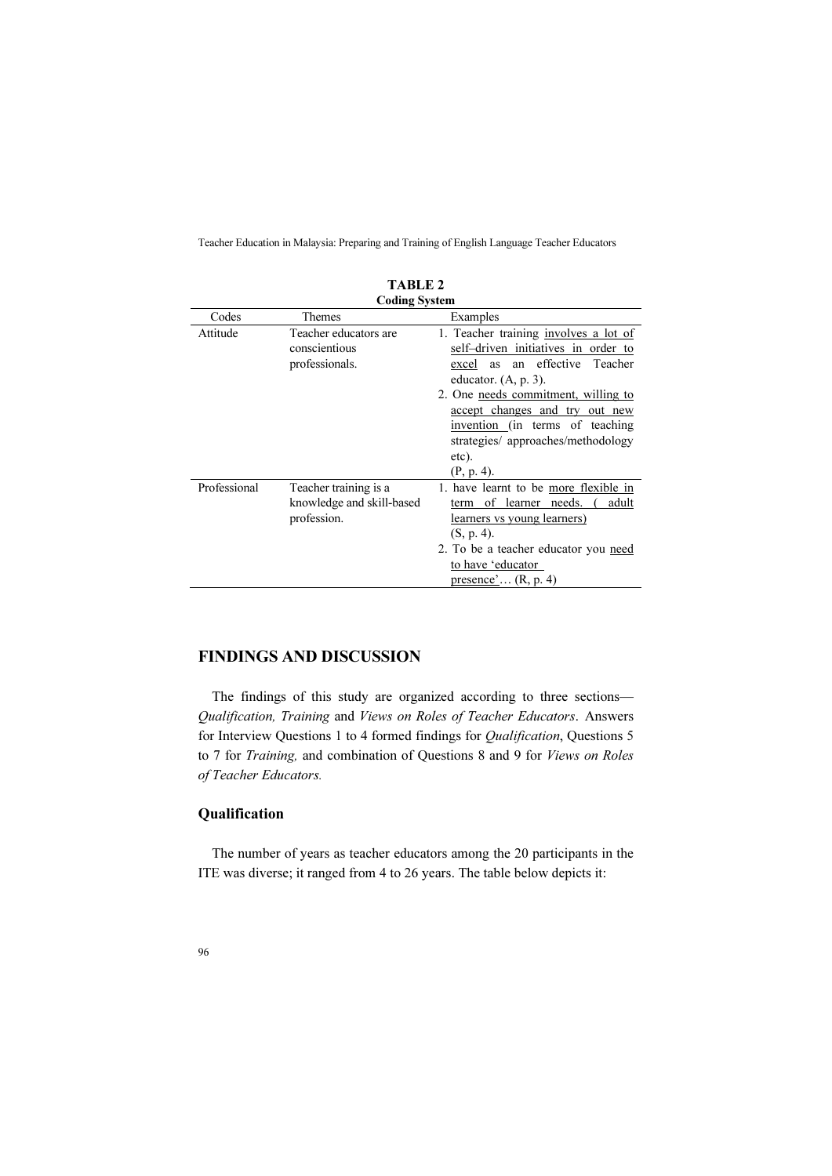| LADLE 4              |                                                                   |                                                                                                                                                                                                                                                                                                              |  |  |
|----------------------|-------------------------------------------------------------------|--------------------------------------------------------------------------------------------------------------------------------------------------------------------------------------------------------------------------------------------------------------------------------------------------------------|--|--|
| <b>Coding System</b> |                                                                   |                                                                                                                                                                                                                                                                                                              |  |  |
| Codes                | Themes                                                            | Examples                                                                                                                                                                                                                                                                                                     |  |  |
| Attitude             | Teacher educators are<br>conscientious<br>professionals.          | 1. Teacher training involves a lot of<br>self-driven initiatives in order to<br>an effective<br>Teacher<br>excel<br>as<br>educator. $(A, p. 3)$ .<br>2. One needs commitment, willing to<br>accept changes and try out new<br>invention (in terms of teaching<br>strategies/ approaches/methodology<br>etc). |  |  |
| Professional         | Teacher training is a<br>knowledge and skill-based<br>profession. | $(P, p. 4)$ .<br>1. have learnt to be more flexible in<br>of learner<br>needs.<br>adult<br>term<br>learners vs young learners)<br>$(S, p. 4)$ .<br>2. To be a teacher educator you need<br>to have 'educator<br>presence' $(R, p. 4)$                                                                        |  |  |

# TARLE?

# FINDINGS AND DISCUSSION

The findings of this study are organized according to three sections— Qualification, Training and Views on Roles of Teacher Educators. Answers for Interview Questions 1 to 4 formed findings for Qualification, Questions 5 to 7 for Training, and combination of Questions 8 and 9 for Views on Roles of Teacher Educators.

# Qualification

The number of years as teacher educators among the 20 participants in the ITE was diverse; it ranged from 4 to 26 years. The table below depicts it: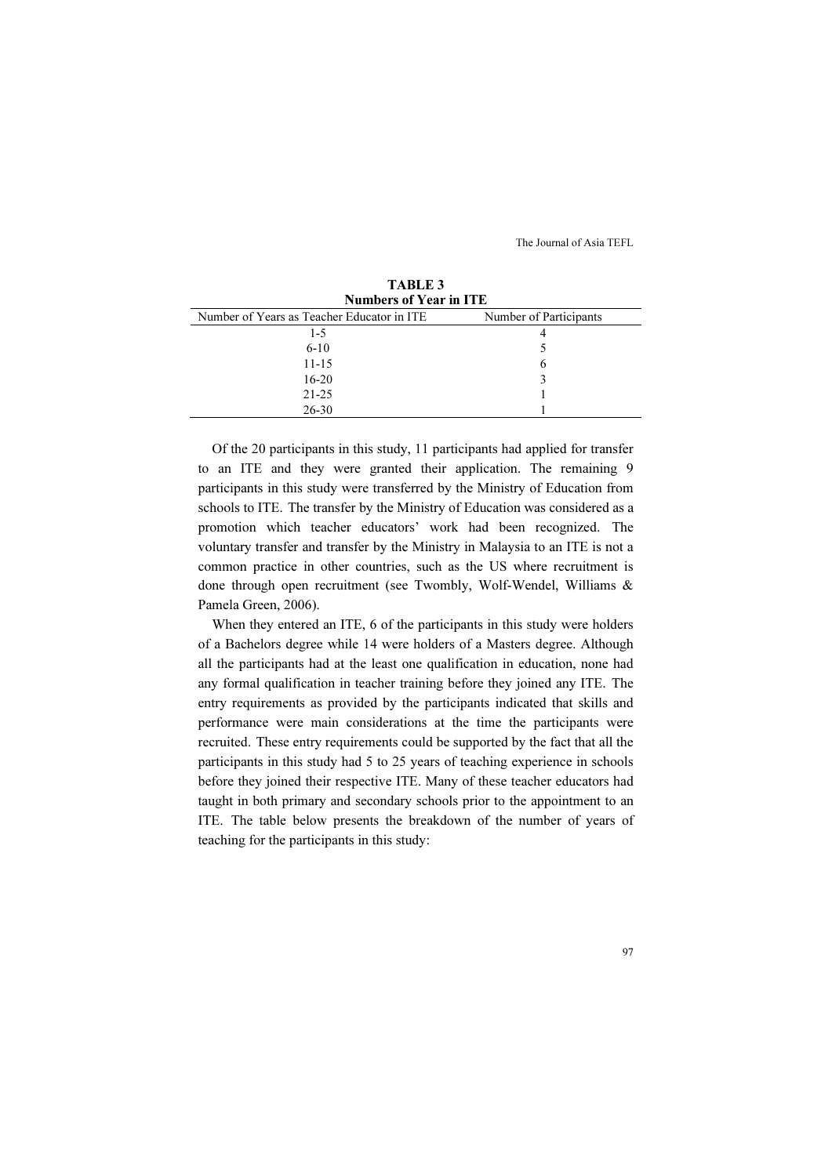| <b>Numbers of Year in ITE</b>              |                        |  |  |
|--------------------------------------------|------------------------|--|--|
| Number of Years as Teacher Educator in ITE | Number of Participants |  |  |
| $1 - 5$                                    |                        |  |  |
| $6 - 10$                                   |                        |  |  |
| $11 - 15$                                  | 6                      |  |  |
| $16-20$                                    | 3                      |  |  |
| $21 - 25$                                  |                        |  |  |
| $26 - 30$                                  |                        |  |  |

TABLE 3

Of the 20 participants in this study, 11 participants had applied for transfer to an ITE and they were granted their application. The remaining 9 participants in this study were transferred by the Ministry of Education from schools to ITE. The transfer by the Ministry of Education was considered as a promotion which teacher educators' work had been recognized. The voluntary transfer and transfer by the Ministry in Malaysia to an ITE is not a common practice in other countries, such as the US where recruitment is done through open recruitment (see Twombly, Wolf-Wendel, Williams & Pamela Green, 2006).

When they entered an ITE, 6 of the participants in this study were holders of a Bachelors degree while 14 were holders of a Masters degree. Although all the participants had at the least one qualification in education, none had any formal qualification in teacher training before they joined any ITE. The entry requirements as provided by the participants indicated that skills and performance were main considerations at the time the participants were recruited. These entry requirements could be supported by the fact that all the participants in this study had 5 to 25 years of teaching experience in schools before they joined their respective ITE. Many of these teacher educators had taught in both primary and secondary schools prior to the appointment to an ITE. The table below presents the breakdown of the number of years of teaching for the participants in this study: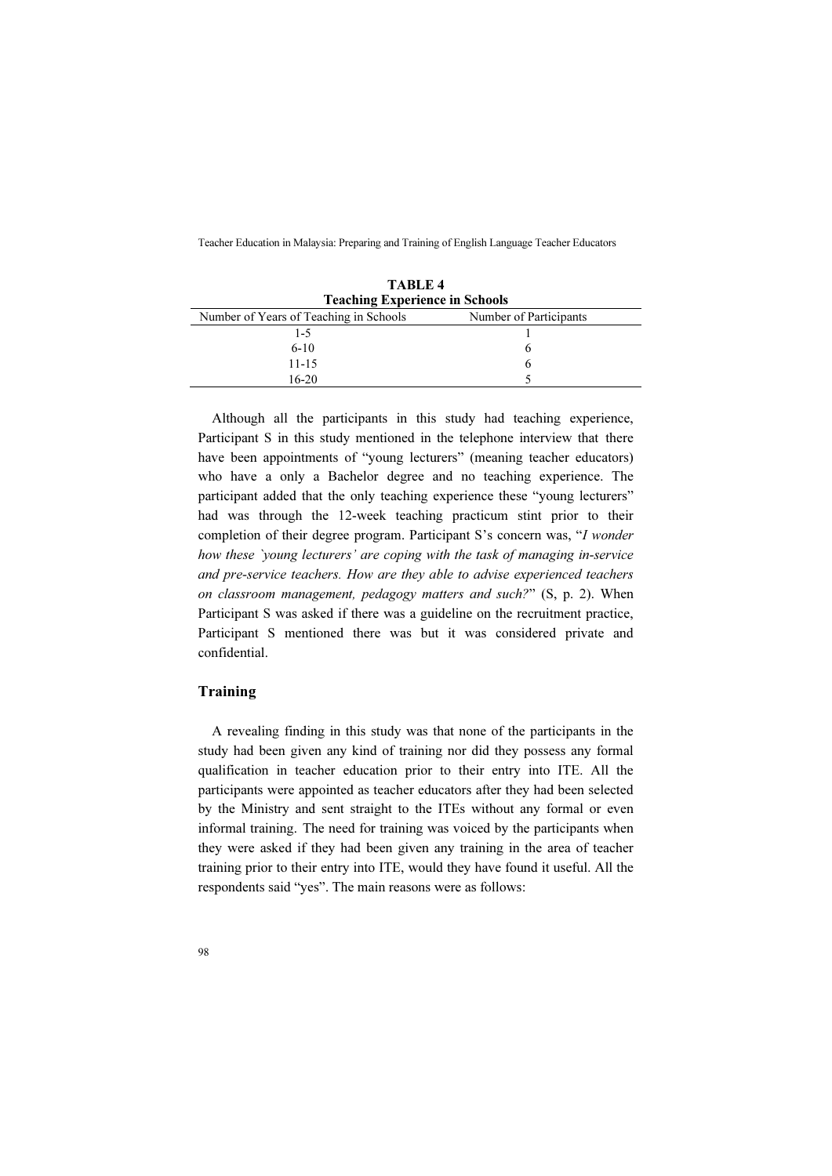| TABLE 4<br><b>Teaching Experience in Schools</b> |                        |  |
|--------------------------------------------------|------------------------|--|
| Number of Years of Teaching in Schools           | Number of Participants |  |
| $1 - 5$                                          |                        |  |
| $6-10$                                           | h                      |  |
| $11 - 15$                                        | h                      |  |
| $16-20$                                          |                        |  |

Although all the participants in this study had teaching experience, Participant S in this study mentioned in the telephone interview that there have been appointments of "young lecturers" (meaning teacher educators) who have a only a Bachelor degree and no teaching experience. The participant added that the only teaching experience these "young lecturers" had was through the 12-week teaching practicum stint prior to their completion of their degree program. Participant S's concern was, "I wonder how these `young lecturers' are coping with the task of managing in-service and pre-service teachers. How are they able to advise experienced teachers on classroom management, pedagogy matters and such?" (S, p. 2). When Participant S was asked if there was a guideline on the recruitment practice, Participant S mentioned there was but it was considered private and confidential.

## Training

A revealing finding in this study was that none of the participants in the study had been given any kind of training nor did they possess any formal qualification in teacher education prior to their entry into ITE. All the participants were appointed as teacher educators after they had been selected by the Ministry and sent straight to the ITEs without any formal or even informal training. The need for training was voiced by the participants when they were asked if they had been given any training in the area of teacher training prior to their entry into ITE, would they have found it useful. All the respondents said "yes". The main reasons were as follows: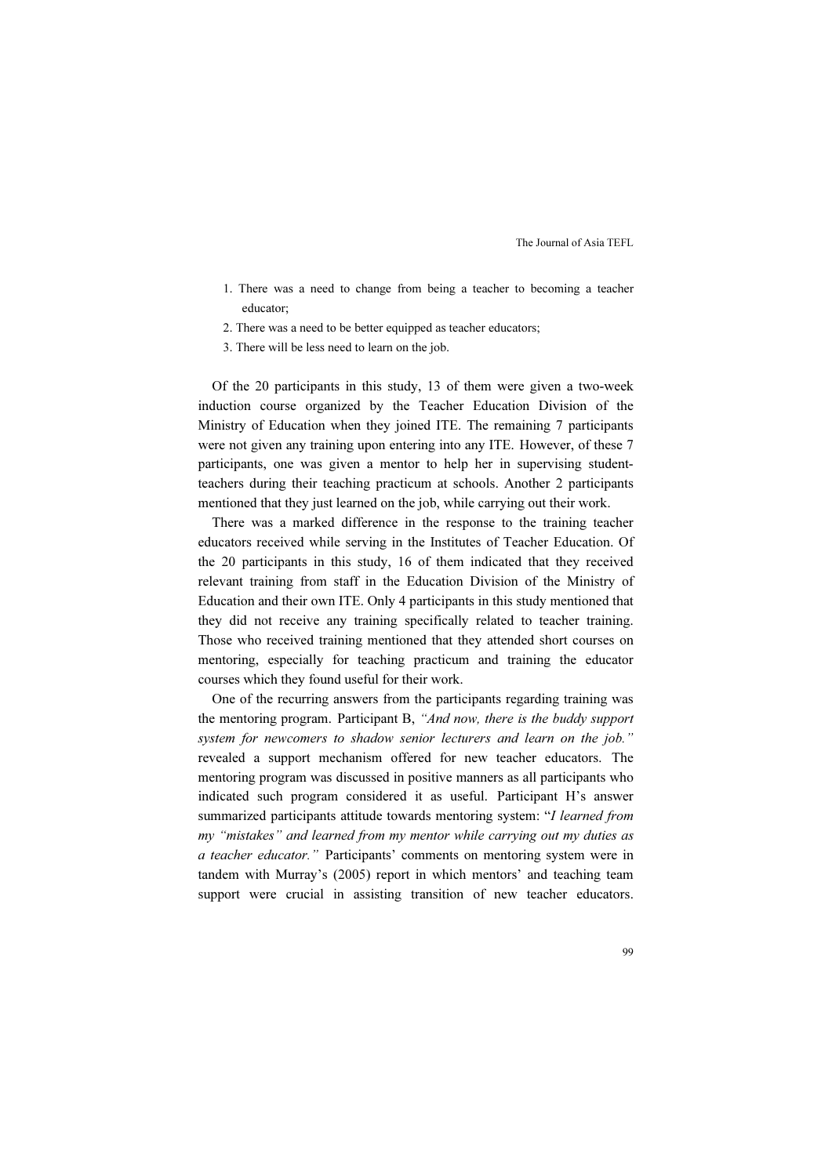- 1. There was a need to change from being a teacher to becoming a teacher educator;
- 2. There was a need to be better equipped as teacher educators;
- 3. There will be less need to learn on the job.

Of the 20 participants in this study, 13 of them were given a two-week induction course organized by the Teacher Education Division of the Ministry of Education when they joined ITE. The remaining 7 participants were not given any training upon entering into any ITE. However, of these 7 participants, one was given a mentor to help her in supervising studentteachers during their teaching practicum at schools. Another 2 participants mentioned that they just learned on the job, while carrying out their work.

There was a marked difference in the response to the training teacher educators received while serving in the Institutes of Teacher Education. Of the 20 participants in this study, 16 of them indicated that they received relevant training from staff in the Education Division of the Ministry of Education and their own ITE. Only 4 participants in this study mentioned that they did not receive any training specifically related to teacher training. Those who received training mentioned that they attended short courses on mentoring, especially for teaching practicum and training the educator courses which they found useful for their work.

One of the recurring answers from the participants regarding training was the mentoring program. Participant B, "And now, there is the buddy support system for newcomers to shadow senior lecturers and learn on the job." revealed a support mechanism offered for new teacher educators. The mentoring program was discussed in positive manners as all participants who indicated such program considered it as useful. Participant H's answer summarized participants attitude towards mentoring system: "I learned from my "mistakes" and learned from my mentor while carrying out my duties as a teacher educator." Participants' comments on mentoring system were in tandem with Murray's (2005) report in which mentors' and teaching team support were crucial in assisting transition of new teacher educators.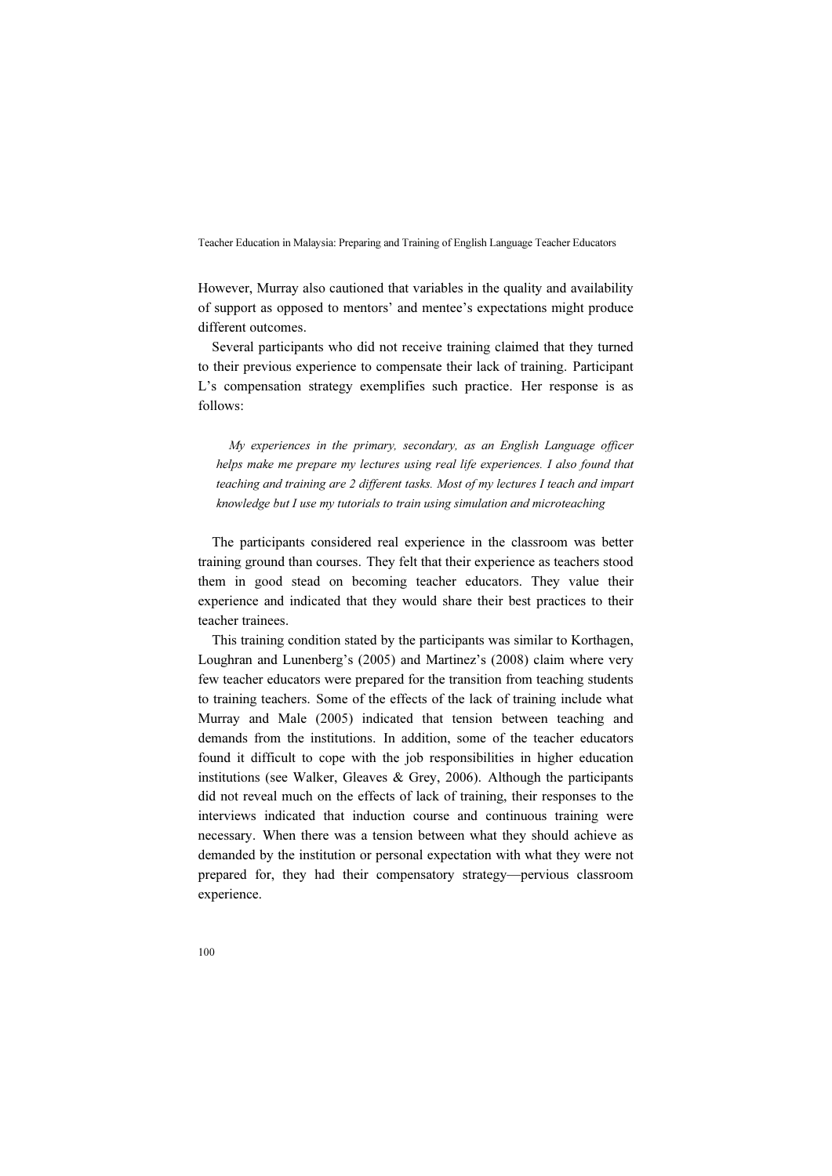However, Murray also cautioned that variables in the quality and availability of support as opposed to mentors' and mentee's expectations might produce different outcomes.

Several participants who did not receive training claimed that they turned to their previous experience to compensate their lack of training. Participant L's compensation strategy exemplifies such practice. Her response is as follows:

My experiences in the primary, secondary, as an English Language officer helps make me prepare my lectures using real life experiences. I also found that teaching and training are 2 different tasks. Most of my lectures I teach and impart knowledge but I use my tutorials to train using simulation and microteaching

The participants considered real experience in the classroom was better training ground than courses. They felt that their experience as teachers stood them in good stead on becoming teacher educators. They value their experience and indicated that they would share their best practices to their teacher trainees.

This training condition stated by the participants was similar to Korthagen, Loughran and Lunenberg's (2005) and Martinez's (2008) claim where very few teacher educators were prepared for the transition from teaching students to training teachers. Some of the effects of the lack of training include what Murray and Male (2005) indicated that tension between teaching and demands from the institutions. In addition, some of the teacher educators found it difficult to cope with the job responsibilities in higher education institutions (see Walker, Gleaves & Grey, 2006). Although the participants did not reveal much on the effects of lack of training, their responses to the interviews indicated that induction course and continuous training were necessary. When there was a tension between what they should achieve as demanded by the institution or personal expectation with what they were not prepared for, they had their compensatory strategy—pervious classroom experience.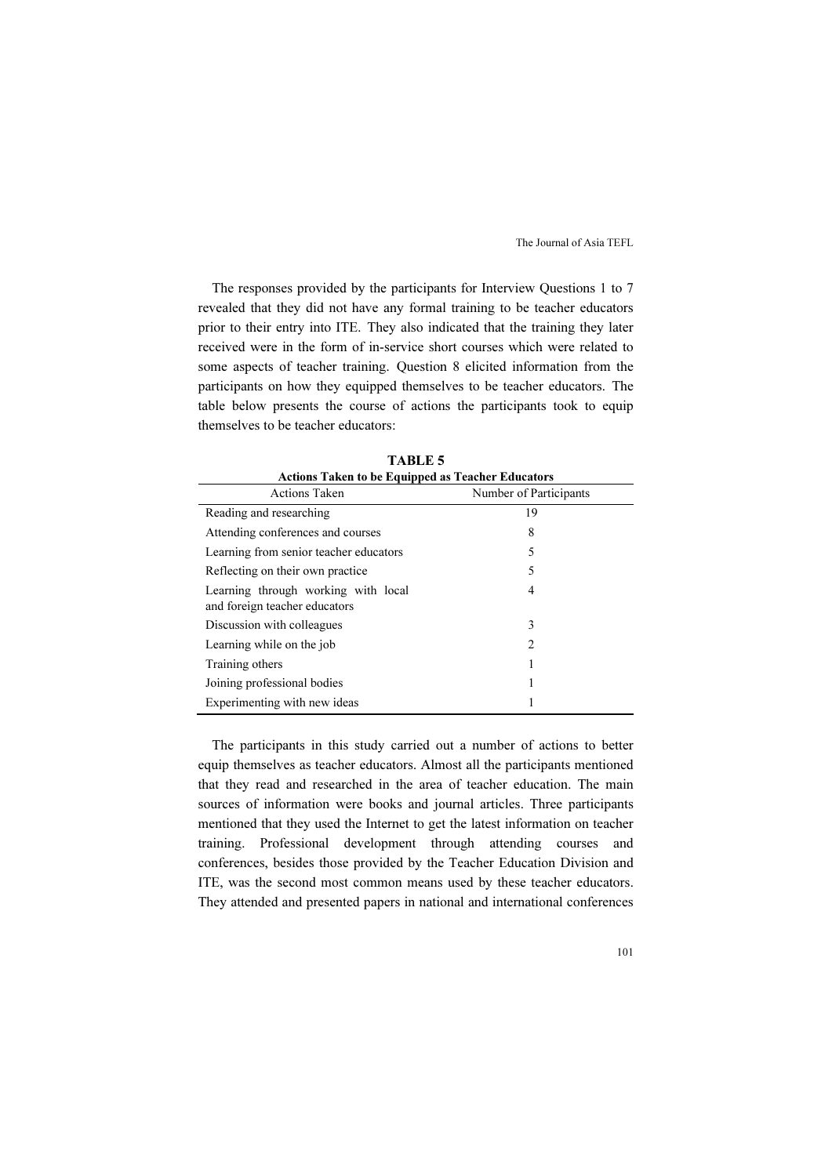The responses provided by the participants for Interview Questions 1 to 7 revealed that they did not have any formal training to be teacher educators prior to their entry into ITE. They also indicated that the training they later received were in the form of in-service short courses which were related to some aspects of teacher training. Question 8 elicited information from the participants on how they equipped themselves to be teacher educators. The table below presents the course of actions the participants took to equip themselves to be teacher educators:

| <b>Actions Taken to be Equipped as Teacher Educators</b>             |                        |  |
|----------------------------------------------------------------------|------------------------|--|
| Actions Taken                                                        | Number of Participants |  |
| Reading and researching                                              | 19                     |  |
| Attending conferences and courses                                    | 8                      |  |
| Learning from senior teacher educators                               | 5                      |  |
| Reflecting on their own practice.                                    | 5                      |  |
| Learning through working with local<br>and foreign teacher educators | 4                      |  |
| Discussion with colleagues                                           | 3                      |  |
| Learning while on the job                                            | $\mathcal{L}$          |  |
| Training others                                                      |                        |  |
| Joining professional bodies                                          | 1                      |  |
| Experimenting with new ideas                                         |                        |  |

TABLE 5

The participants in this study carried out a number of actions to better equip themselves as teacher educators. Almost all the participants mentioned that they read and researched in the area of teacher education. The main sources of information were books and journal articles. Three participants mentioned that they used the Internet to get the latest information on teacher training. Professional development through attending courses and conferences, besides those provided by the Teacher Education Division and ITE, was the second most common means used by these teacher educators. They attended and presented papers in national and international conferences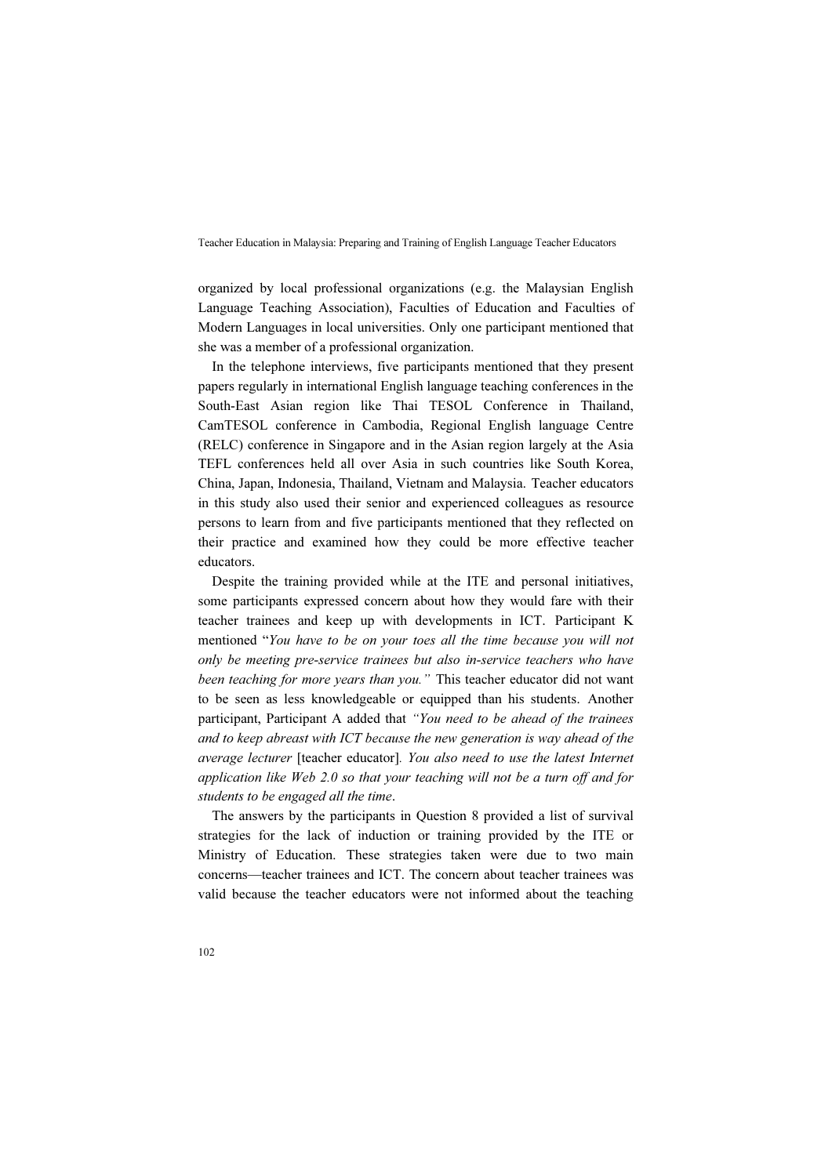organized by local professional organizations (e.g. the Malaysian English Language Teaching Association), Faculties of Education and Faculties of Modern Languages in local universities. Only one participant mentioned that she was a member of a professional organization.

In the telephone interviews, five participants mentioned that they present papers regularly in international English language teaching conferences in the South-East Asian region like Thai TESOL Conference in Thailand, CamTESOL conference in Cambodia, Regional English language Centre (RELC) conference in Singapore and in the Asian region largely at the Asia TEFL conferences held all over Asia in such countries like South Korea, China, Japan, Indonesia, Thailand, Vietnam and Malaysia. Teacher educators in this study also used their senior and experienced colleagues as resource persons to learn from and five participants mentioned that they reflected on their practice and examined how they could be more effective teacher educators.

Despite the training provided while at the ITE and personal initiatives, some participants expressed concern about how they would fare with their teacher trainees and keep up with developments in ICT. Participant K mentioned "You have to be on your toes all the time because you will not only be meeting pre-service trainees but also in-service teachers who have been teaching for more years than you." This teacher educator did not want to be seen as less knowledgeable or equipped than his students. Another participant, Participant A added that "You need to be ahead of the trainees and to keep abreast with ICT because the new generation is way ahead of the average lecturer [teacher educator]. You also need to use the latest Internet application like Web 2.0 so that your teaching will not be a turn off and for students to be engaged all the time.

The answers by the participants in Question 8 provided a list of survival strategies for the lack of induction or training provided by the ITE or Ministry of Education. These strategies taken were due to two main concerns—teacher trainees and ICT. The concern about teacher trainees was valid because the teacher educators were not informed about the teaching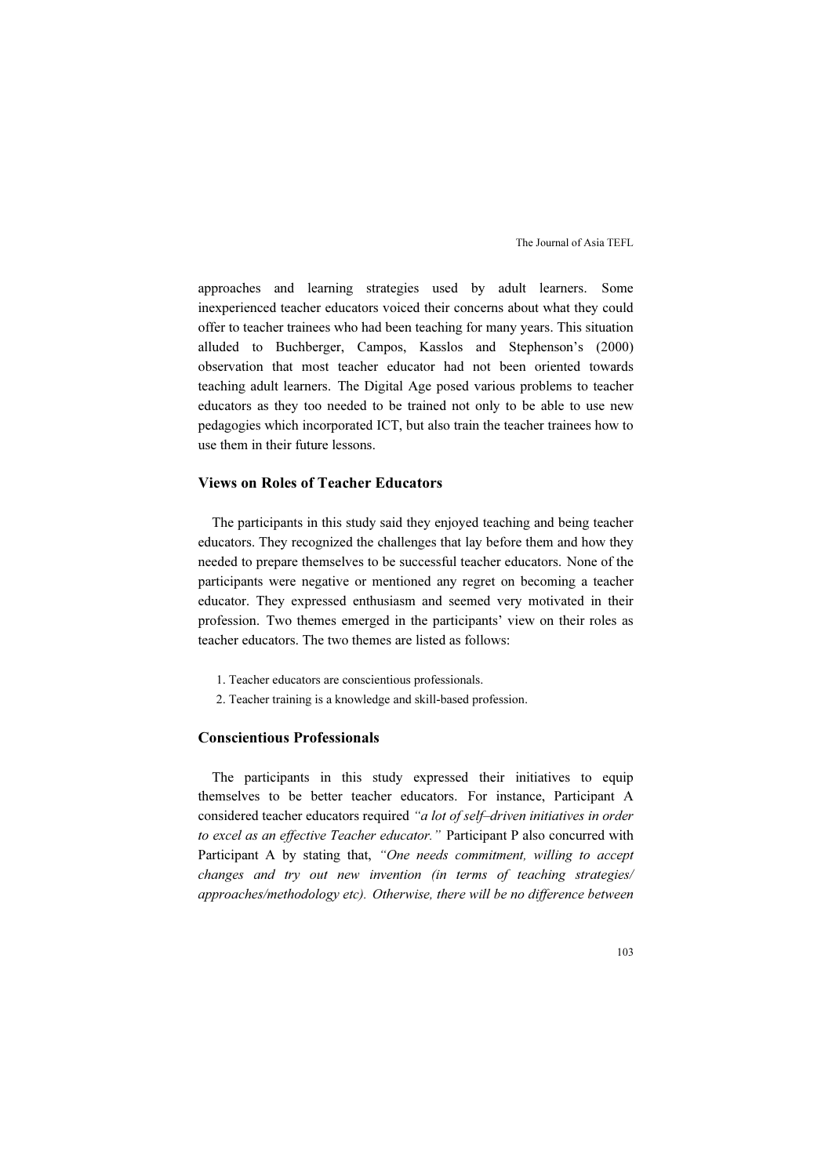approaches and learning strategies used by adult learners. Some inexperienced teacher educators voiced their concerns about what they could offer to teacher trainees who had been teaching for many years. This situation alluded to Buchberger, Campos, Kasslos and Stephenson's (2000) observation that most teacher educator had not been oriented towards teaching adult learners. The Digital Age posed various problems to teacher educators as they too needed to be trained not only to be able to use new pedagogies which incorporated ICT, but also train the teacher trainees how to use them in their future lessons.

# Views on Roles of Teacher Educators

The participants in this study said they enjoyed teaching and being teacher educators. They recognized the challenges that lay before them and how they needed to prepare themselves to be successful teacher educators. None of the participants were negative or mentioned any regret on becoming a teacher educator. They expressed enthusiasm and seemed very motivated in their profession. Two themes emerged in the participants' view on their roles as teacher educators. The two themes are listed as follows:

- 1. Teacher educators are conscientious professionals.
- 2. Teacher training is a knowledge and skill-based profession.

## Conscientious Professionals

The participants in this study expressed their initiatives to equip themselves to be better teacher educators. For instance, Participant A considered teacher educators required "a lot of self–driven initiatives in order to excel as an effective Teacher educator." Participant P also concurred with Participant A by stating that, "One needs commitment, willing to accept changes and try out new invention (in terms of teaching strategies/ approaches/methodology etc). Otherwise, there will be no difference between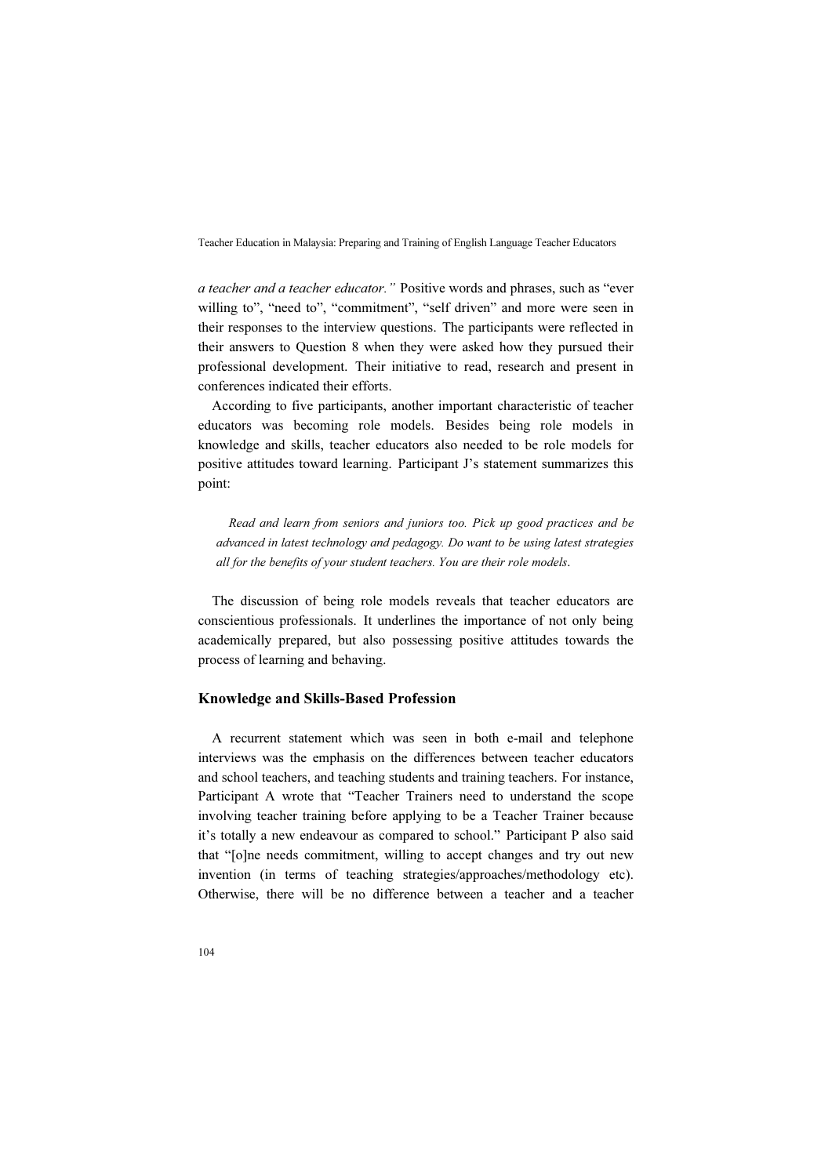a teacher and a teacher educator." Positive words and phrases, such as "ever willing to", "need to", "commitment", "self driven" and more were seen in their responses to the interview questions. The participants were reflected in their answers to Question 8 when they were asked how they pursued their professional development. Their initiative to read, research and present in conferences indicated their efforts.

According to five participants, another important characteristic of teacher educators was becoming role models. Besides being role models in knowledge and skills, teacher educators also needed to be role models for positive attitudes toward learning. Participant J's statement summarizes this point:

Read and learn from seniors and juniors too. Pick up good practices and be advanced in latest technology and pedagogy. Do want to be using latest strategies all for the benefits of your student teachers. You are their role models.

The discussion of being role models reveals that teacher educators are conscientious professionals. It underlines the importance of not only being academically prepared, but also possessing positive attitudes towards the process of learning and behaving.

## Knowledge and Skills-Based Profession

A recurrent statement which was seen in both e-mail and telephone interviews was the emphasis on the differences between teacher educators and school teachers, and teaching students and training teachers. For instance, Participant A wrote that "Teacher Trainers need to understand the scope involving teacher training before applying to be a Teacher Trainer because it's totally a new endeavour as compared to school." Participant P also said that "[o]ne needs commitment, willing to accept changes and try out new invention (in terms of teaching strategies/approaches/methodology etc). Otherwise, there will be no difference between a teacher and a teacher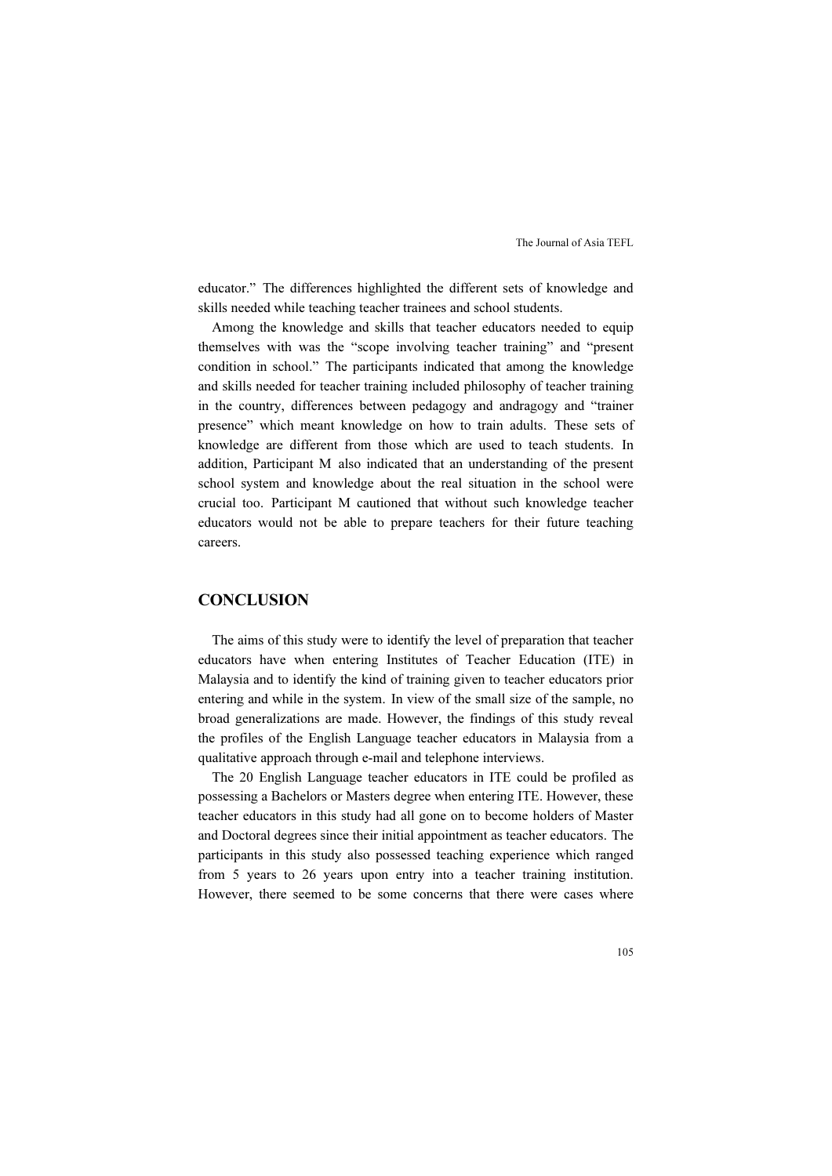educator." The differences highlighted the different sets of knowledge and skills needed while teaching teacher trainees and school students.

Among the knowledge and skills that teacher educators needed to equip themselves with was the "scope involving teacher training" and "present condition in school." The participants indicated that among the knowledge and skills needed for teacher training included philosophy of teacher training in the country, differences between pedagogy and andragogy and "trainer presence" which meant knowledge on how to train adults. These sets of knowledge are different from those which are used to teach students. In addition, Participant M also indicated that an understanding of the present school system and knowledge about the real situation in the school were crucial too. Participant M cautioned that without such knowledge teacher educators would not be able to prepare teachers for their future teaching careers.

## **CONCLUSION**

The aims of this study were to identify the level of preparation that teacher educators have when entering Institutes of Teacher Education (ITE) in Malaysia and to identify the kind of training given to teacher educators prior entering and while in the system. In view of the small size of the sample, no broad generalizations are made. However, the findings of this study reveal the profiles of the English Language teacher educators in Malaysia from a qualitative approach through e-mail and telephone interviews.

The 20 English Language teacher educators in ITE could be profiled as possessing a Bachelors or Masters degree when entering ITE. However, these teacher educators in this study had all gone on to become holders of Master and Doctoral degrees since their initial appointment as teacher educators. The participants in this study also possessed teaching experience which ranged from 5 years to 26 years upon entry into a teacher training institution. However, there seemed to be some concerns that there were cases where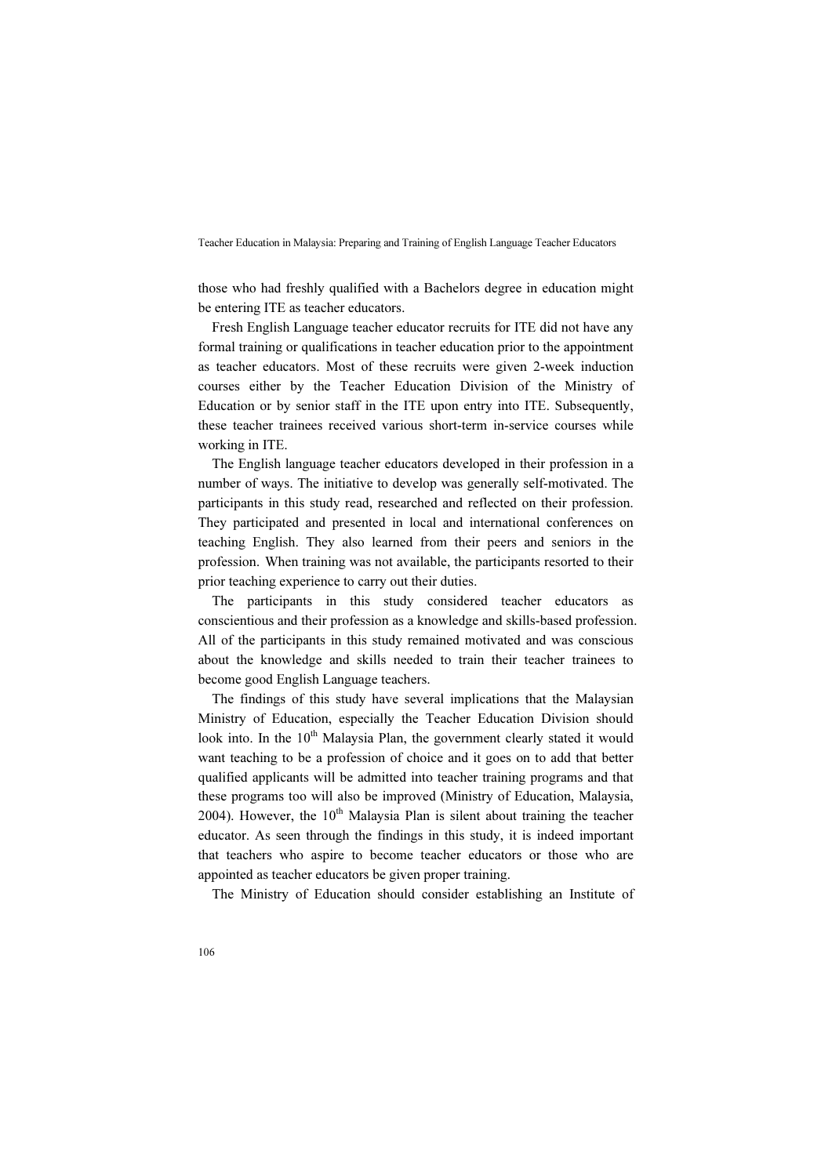those who had freshly qualified with a Bachelors degree in education might be entering ITE as teacher educators.

Fresh English Language teacher educator recruits for ITE did not have any formal training or qualifications in teacher education prior to the appointment as teacher educators. Most of these recruits were given 2-week induction courses either by the Teacher Education Division of the Ministry of Education or by senior staff in the ITE upon entry into ITE. Subsequently, these teacher trainees received various short-term in-service courses while working in ITE.

The English language teacher educators developed in their profession in a number of ways. The initiative to develop was generally self-motivated. The participants in this study read, researched and reflected on their profession. They participated and presented in local and international conferences on teaching English. They also learned from their peers and seniors in the profession. When training was not available, the participants resorted to their prior teaching experience to carry out their duties.

The participants in this study considered teacher educators as conscientious and their profession as a knowledge and skills-based profession. All of the participants in this study remained motivated and was conscious about the knowledge and skills needed to train their teacher trainees to become good English Language teachers.

The findings of this study have several implications that the Malaysian Ministry of Education, especially the Teacher Education Division should look into. In the  $10<sup>th</sup>$  Malaysia Plan, the government clearly stated it would want teaching to be a profession of choice and it goes on to add that better qualified applicants will be admitted into teacher training programs and that these programs too will also be improved (Ministry of Education, Malaysia, 2004). However, the  $10<sup>th</sup>$  Malaysia Plan is silent about training the teacher educator. As seen through the findings in this study, it is indeed important that teachers who aspire to become teacher educators or those who are appointed as teacher educators be given proper training.

The Ministry of Education should consider establishing an Institute of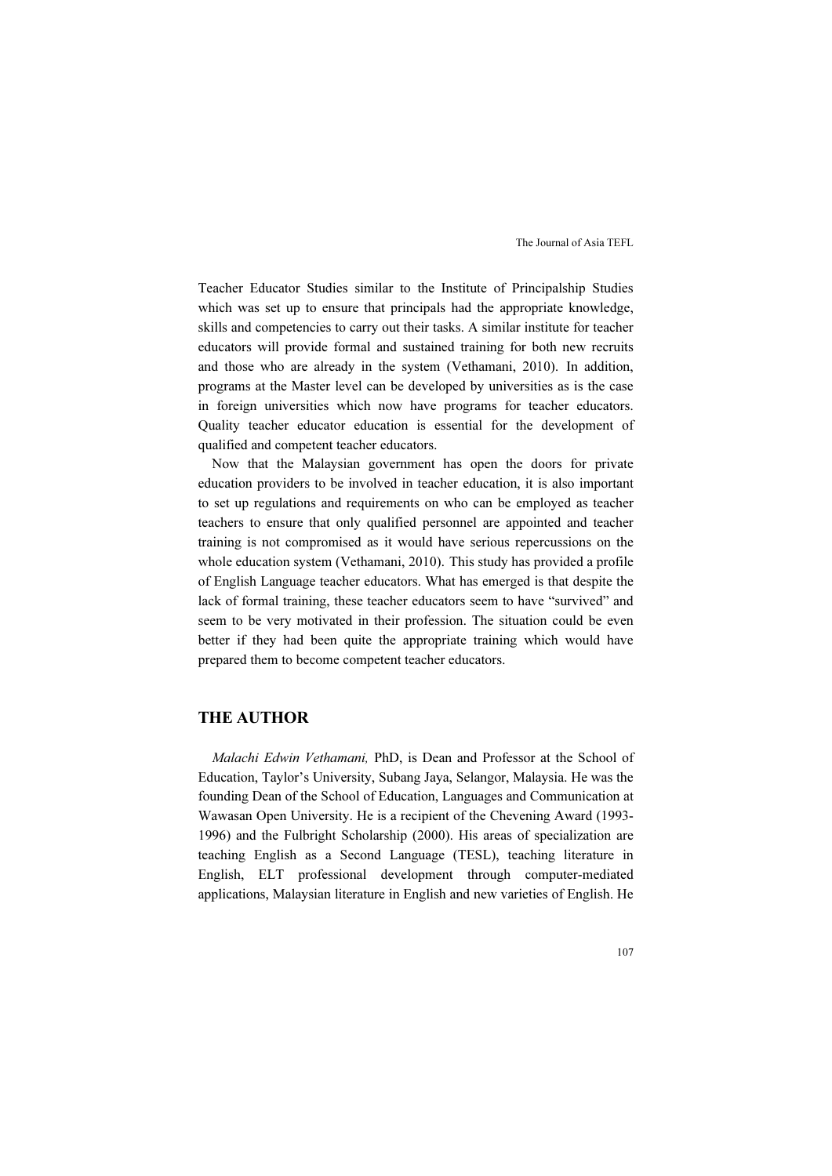Teacher Educator Studies similar to the Institute of Principalship Studies which was set up to ensure that principals had the appropriate knowledge, skills and competencies to carry out their tasks. A similar institute for teacher educators will provide formal and sustained training for both new recruits and those who are already in the system (Vethamani, 2010). In addition, programs at the Master level can be developed by universities as is the case in foreign universities which now have programs for teacher educators. Quality teacher educator education is essential for the development of qualified and competent teacher educators.

Now that the Malaysian government has open the doors for private education providers to be involved in teacher education, it is also important to set up regulations and requirements on who can be employed as teacher teachers to ensure that only qualified personnel are appointed and teacher training is not compromised as it would have serious repercussions on the whole education system (Vethamani, 2010). This study has provided a profile of English Language teacher educators. What has emerged is that despite the lack of formal training, these teacher educators seem to have "survived" and seem to be very motivated in their profession. The situation could be even better if they had been quite the appropriate training which would have prepared them to become competent teacher educators.

# THE AUTHOR

Malachi Edwin Vethamani, PhD, is Dean and Professor at the School of Education, Taylor's University, Subang Jaya, Selangor, Malaysia. He was the founding Dean of the School of Education, Languages and Communication at Wawasan Open University. He is a recipient of the Chevening Award (1993- 1996) and the Fulbright Scholarship (2000). His areas of specialization are teaching English as a Second Language (TESL), teaching literature in English, ELT professional development through computer-mediated applications, Malaysian literature in English and new varieties of English. He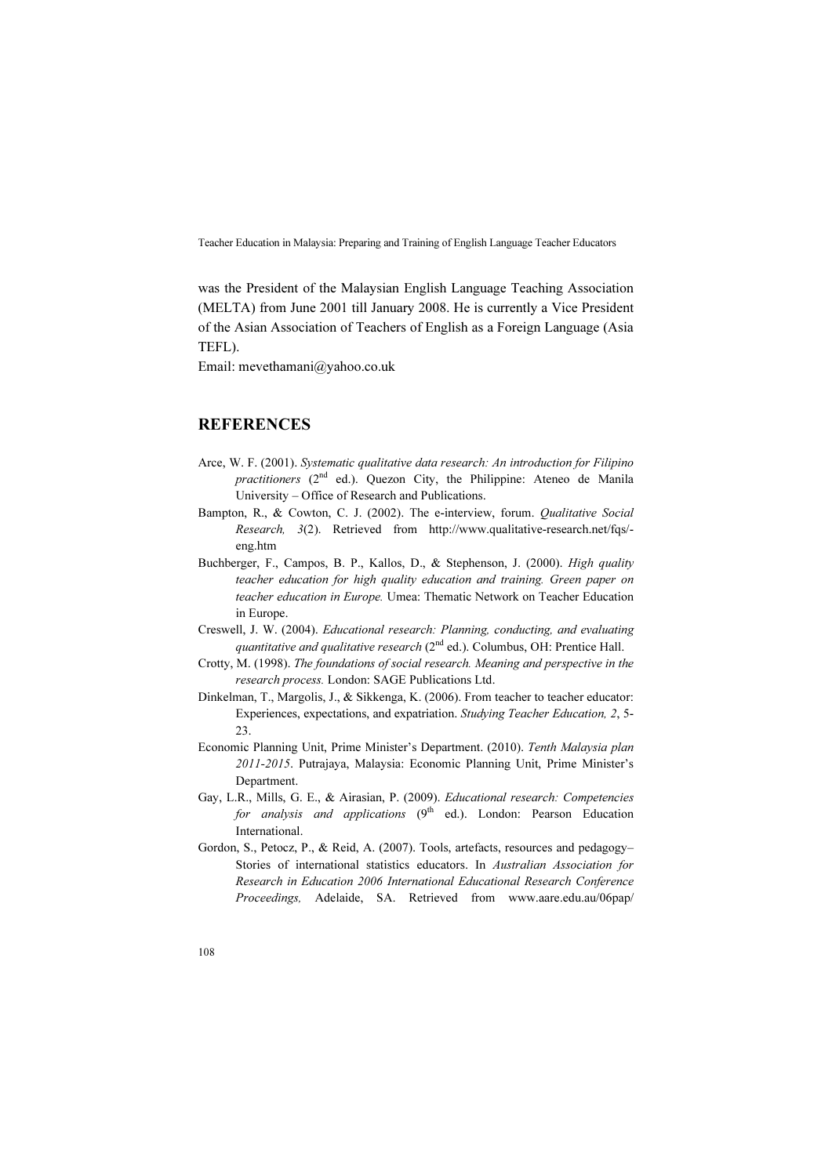was the President of the Malaysian English Language Teaching Association (MELTA) from June 2001 till January 2008. He is currently a Vice President of the Asian Association of Teachers of English as a Foreign Language (Asia TEFL).

Email: mevethamani@yahoo.co.uk

# **REFERENCES**

- Arce, W. F. (2001). Systematic qualitative data research: An introduction for Filipino practitioners  $(2^{nd}$  ed.). Quezon City, the Philippine: Ateneo de Manila University – Office of Research and Publications.
- Bampton, R., & Cowton, C. J. (2002). The e-interview, forum. *Qualitative Social* Research, 3(2). Retrieved from http://www.qualitative-research.net/fqs/ eng.htm
- Buchberger, F., Campos, B. P., Kallos, D., & Stephenson, J. (2000). High quality teacher education for high quality education and training. Green paper on teacher education in Europe. Umea: Thematic Network on Teacher Education in Europe.
- Creswell, J. W. (2004). Educational research: Planning, conducting, and evaluating quantitative and qualitative research  $(2<sup>nd</sup>$  ed.). Columbus, OH: Prentice Hall.
- Crotty, M. (1998). The foundations of social research. Meaning and perspective in the research process. London: SAGE Publications Ltd.
- Dinkelman, T., Margolis, J., & Sikkenga, K. (2006). From teacher to teacher educator: Experiences, expectations, and expatriation. Studying Teacher Education, 2, 5- 23.
- Economic Planning Unit, Prime Minister's Department. (2010). Tenth Malaysia plan 2011-2015. Putrajaya, Malaysia: Economic Planning Unit, Prime Minister's Department.
- Gay, L.R., Mills, G. E., & Airasian, P. (2009). Educational research: Competencies for analysis and applications  $(9<sup>th</sup>$  ed.). London: Pearson Education International.
- Gordon, S., Petocz, P., & Reid, A. (2007). Tools, artefacts, resources and pedagogy– Stories of international statistics educators. In Australian Association for Research in Education 2006 International Educational Research Conference Proceedings, Adelaide, SA. Retrieved from www.aare.edu.au/06pap/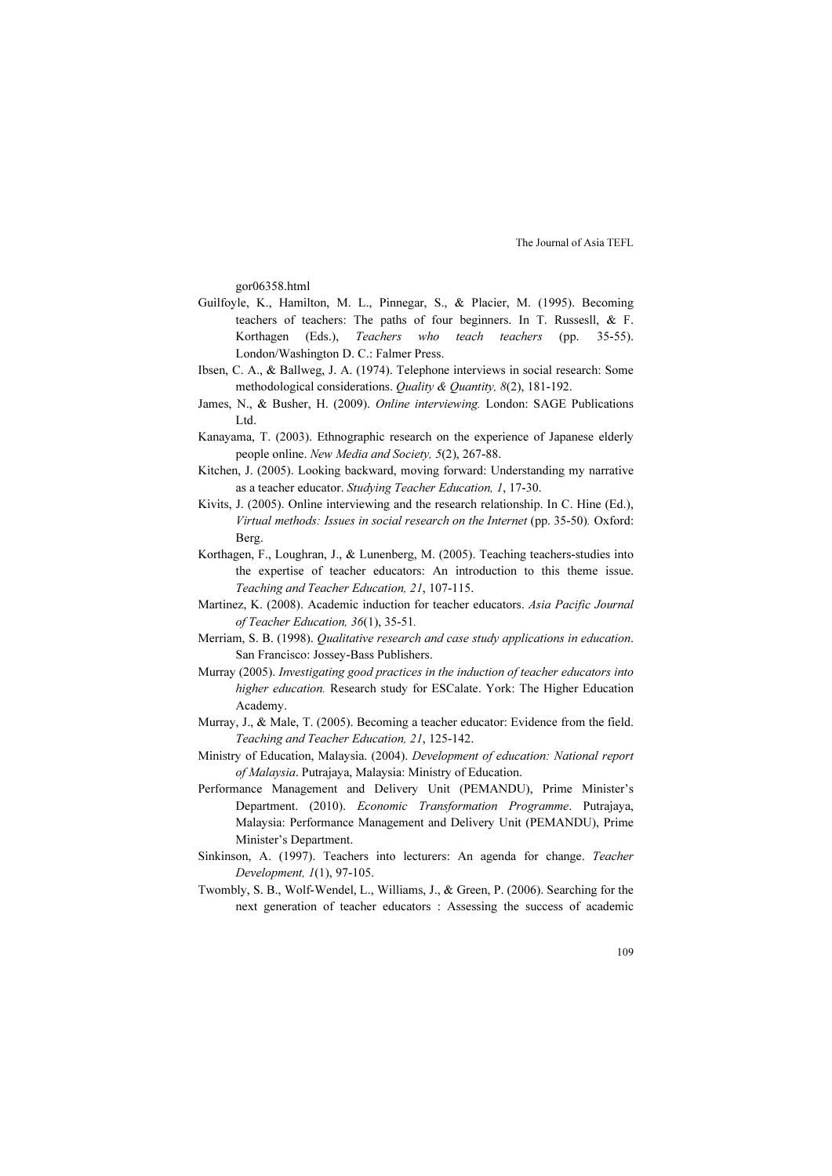gor06358.html

- Guilfoyle, K., Hamilton, M. L., Pinnegar, S., & Placier, M. (1995). Becoming teachers of teachers: The paths of four beginners. In T. Russesll, & F. Korthagen (Eds.), Teachers who teach teachers (pp. 35-55). London/Washington D. C.: Falmer Press.
- Ibsen, C. A., & Ballweg, J. A. (1974). Telephone interviews in social research: Some methodological considerations. Quality & Quantity, 8(2), 181-192.
- James, N., & Busher, H. (2009). Online interviewing. London: SAGE Publications Ltd.
- Kanayama, T. (2003). Ethnographic research on the experience of Japanese elderly people online. New Media and Society, 5(2), 267-88.
- Kitchen, J. (2005). Looking backward, moving forward: Understanding my narrative as a teacher educator. Studying Teacher Education, 1, 17-30.
- Kivits, J. (2005). Online interviewing and the research relationship. In C. Hine (Ed.), Virtual methods: Issues in social research on the Internet (pp. 35-50). Oxford: Berg.
- Korthagen, F., Loughran, J., & Lunenberg, M. (2005). Teaching teachers-studies into the expertise of teacher educators: An introduction to this theme issue. Teaching and Teacher Education, 21, 107-115.
- Martinez, K. (2008). Academic induction for teacher educators. Asia Pacific Journal of Teacher Education, 36(1), 35-51.
- Merriam, S. B. (1998). Qualitative research and case study applications in education. San Francisco: Jossey-Bass Publishers.
- Murray (2005). Investigating good practices in the induction of teacher educators into higher education. Research study for ESCalate. York: The Higher Education Academy.
- Murray, J., & Male, T. (2005). Becoming a teacher educator: Evidence from the field. Teaching and Teacher Education, 21, 125-142.
- Ministry of Education, Malaysia. (2004). Development of education: National report of Malaysia. Putrajaya, Malaysia: Ministry of Education.
- Performance Management and Delivery Unit (PEMANDU), Prime Minister's Department. (2010). Economic Transformation Programme. Putrajaya, Malaysia: Performance Management and Delivery Unit (PEMANDU), Prime Minister's Department.
- Sinkinson, A. (1997). Teachers into lecturers: An agenda for change. Teacher Development, 1(1), 97-105.
- Twombly, S. B., Wolf-Wendel, L., Williams, J., & Green, P. (2006). Searching for the next generation of teacher educators : Assessing the success of academic